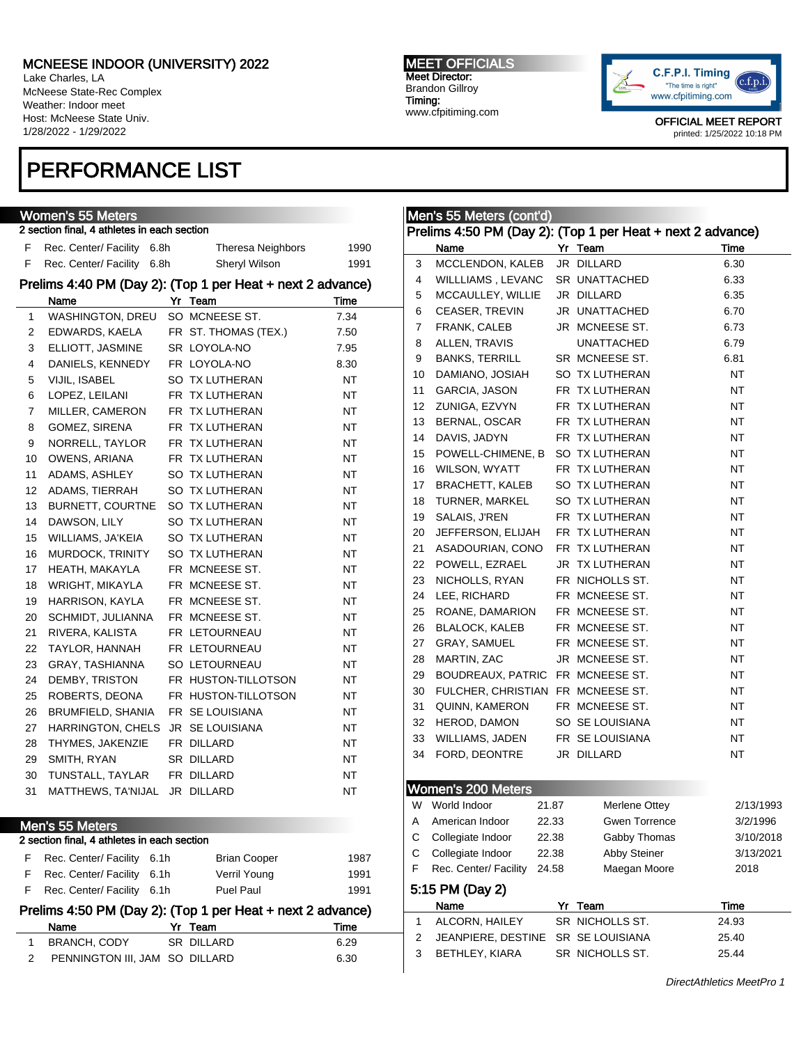Lake Charles, LA McNeese State-Rec Complex Weather: Indoor meet Host: McNeese State Univ. 1/28/2022 - 1/29/2022

## PERFORMANCE LIST

|                | <b>Women's 55 Meters</b>                    |                                                            |           |
|----------------|---------------------------------------------|------------------------------------------------------------|-----------|
|                | 2 section final, 4 athletes in each section |                                                            |           |
| F              | Rec. Center/ Facility<br>6.8h               | <b>Theresa Neighbors</b>                                   | 1990      |
| F              | Rec. Center/ Facility<br>6.8h               | Sheryl Wilson                                              | 1991      |
|                |                                             | Prelims 4:40 PM (Day 2): (Top 1 per Heat + next 2 advance) |           |
|                | Name                                        | Yr Team                                                    | Time      |
| 1              | <b>WASHINGTON, DREU</b>                     | SO MCNEESE ST.                                             | 7.34      |
| 2              | EDWARDS, KAELA                              | FR ST. THOMAS (TEX.)                                       | 7.50      |
| 3              | ELLIOTT, JASMINE                            | SR LOYOLA-NO                                               | 7.95      |
| 4              | DANIELS, KENNEDY                            | FR LOYOLA-NO                                               | 8.30      |
| 5              | <b>VIJIL. ISABEL</b>                        | SO TX LUTHERAN                                             | <b>NT</b> |
| 6              | LOPEZ, LEILANI                              | FR TX LUTHERAN                                             | NT        |
| $\overline{7}$ | MILLER, CAMERON                             | FR TX LUTHERAN                                             | <b>NT</b> |
| 8              | GOMEZ, SIRENA                               | FR TX LUTHERAN                                             | <b>NT</b> |
| 9              | NORRELL, TAYLOR                             | FR TX LUTHERAN                                             | NT        |
| 10             | <b>OWENS, ARIANA</b>                        | FR TX LUTHERAN                                             | <b>NT</b> |
| 11             | ADAMS, ASHLEY                               | SO TX LUTHERAN                                             | NT        |
| 12             | ADAMS, TIERRAH                              | SO TX LUTHERAN                                             | <b>NT</b> |
| 13             | BURNETT, COURTNE                            | SO TX LUTHERAN                                             | NT        |
| 14             | DAWSON, LILY                                | SO TX LUTHERAN                                             | NΤ        |
| 15             | WILLIAMS, JA'KEIA                           | SO TX LUTHERAN                                             | NT        |
| 16             | MURDOCK, TRINITY                            | SO TX LUTHERAN                                             | <b>NT</b> |
| 17             | HEATH, MAKAYLA                              | FR MCNEESE ST.                                             | NT        |
| 18             | WRIGHT, MIKAYLA                             | FR MCNEESE ST.                                             | <b>NT</b> |
| 19             | HARRISON, KAYLA                             | FR MCNEESE ST.                                             | NT        |
| 20             | SCHMIDT, JULIANNA                           | FR MCNEESE ST.                                             | <b>NT</b> |
| 21             | RIVERA, KALISTA                             | FR LETOURNEAU                                              | ΝT        |
| 22             | TAYLOR, HANNAH                              | FR LETOURNEAU                                              | <b>NT</b> |
| 23             | GRAY, TASHIANNA                             | SO LETOURNEAU                                              | ΝT        |
| 24             | DEMBY, TRISTON                              | FR HUSTON-TILLOTSON                                        | NT        |
| 25             | ROBERTS, DEONA                              | FR HUSTON-TILLOTSON                                        | ΝT        |
| 26             | <b>BRUMFIELD, SHANIA</b>                    | FR SE LOUISIANA                                            | ΝT        |
| 27             | <b>HARRINGTON, CHELS</b>                    | JR SE LOUISIANA                                            | ΝT        |
| 28             | THYMES, JAKENZIE                            | FR DILLARD                                                 | <b>NT</b> |
| 29             | SMITH, RYAN                                 | SR DILLARD                                                 | ΝT        |
| 30             | TUNSTALL, TAYLAR                            | FR DILLARD                                                 | NΤ        |
| 31             | MATTHEWS, TA'NIJAL                          | JR DILLARD                                                 | NΤ        |
|                |                                             |                                                            |           |

### Men's 55 Meters 2 section final, 4 athletes in each section F Rec. Center/ Facility 6.1h Brian Cooper 1987 F Rec. Center/ Facility 6.1h Verril Young 1991 F Rec. Center/ Facility 6.1h Puel Paul 1991 Prelims 4:50 PM (Day 2): (Top 1 per Heat + next 2 advance) Name **Yr Team Time** 1 BRANCH, CODY SR DILLARD 6.29

| .                              | _ _ _ _ _ _ _ _ _ _ _ _ | ----- |
|--------------------------------|-------------------------|-------|
| PENNINGTON III, JAM SO DILLARD |                         | 6.30  |

#### MEET OFFICIALS Meet Director: Brandon Gillroy Timing: www.cfpitiming.com



OFFICIAL MEET REPORT printed: 1/25/2022 10:18 PM

## Men's 55 Meters (cont'd) Prelims 4:50 PM (Day 2): (Top 1 per Heat + next 2 advance) Name **Yr Team Time** 3 MCCLENDON, KALEB JR DILLARD 6.30 4 WILLLIAMS , LEVANC SR UNATTACHED 6.33 5 MCCAULLEY, WILLIE JR DILLARD 6.35 6 CEASER, TREVIN JR UNATTACHED 6.70 7 FRANK, CALEB JR MCNEESE ST. 6.73 8 ALLEN, TRAVIS UNATTACHED 6.79 9 BANKS, TERRILL SR MCNEESE ST. 6.81 10 DAMIANO, JOSIAH SO TX LUTHERAN NT 11 GARCIA, JASON FR TX LUTHERAN NT 12 ZUNIGA, EZVYN FR TX LUTHERAN NT 13 BERNAL, OSCAR FR TX LUTHERAN NT 14 DAVIS, JADYN FR TX LUTHERAN NT 15 POWELL-CHIMENE, B SO TX LUTHERAN NT 16 WILSON, WYATT FR TX LUTHERAN NT 17 BRACHETT, KALEB SO TX LUTHERAN NT 18 TURNER, MARKEL SO TX LUTHERAN NT 19 SALAIS, J'REN FR TX LUTHERAN NT 20 JEFFERSON, ELIJAH FR TX LUTHERAN NT 21 ASADOURIAN, CONO FR TX LUTHERAN NT 22 POWELL, EZRAEL JR TX LUTHERAN NT 23 NICHOLLS, RYAN FR NICHOLLS ST. NT 24 LEE, RICHARD FR MCNEESE ST. NT 25 ROANE, DAMARION FR MCNEESE ST. 26 BLALOCK, KALEB FR MCNEESE ST. NT 27 GRAY, SAMUEL FR MCNEESE ST. NT 28 MARTIN, ZAC JR MCNEESE ST. NT 29 BOUDREAUX, PATRIC FR MCNEESE ST. NT 30 FULCHER, CHRISTIAN FR MCNEESE ST. NT 31 QUINN, KAMERON FR MCNEESE ST. NT 32 HEROD, DAMON SO SE LOUISIANA NT 33 WILLIAMS, JADEN FR SE LOUISIANA NT 34 FORD, DEONTRE JR DILLARD NT Women's 200 Meters W World Indoor 21.87 Merlene Ottey 2/13/1993 A American Indoor 22.33 Gwen Torrence 3/2/1996 C Collegiate Indoor 22.38 Gabby Thomas 3/10/2018 C Collegiate Indoor 22.38 Abby Steiner 3/13/2021 F Rec. Center/ Facility 24.58 Maegan Moore 2018 5:15 PM (Day 2) Name **Yr Team Time** 1 ALCORN, HAILEY SR NICHOLLS ST. 24.93 2 JEANPIERE, DESTINE SR SE LOUISIANA 25.40 3 BETHLEY, KIARA SR NICHOLLS ST. 25.44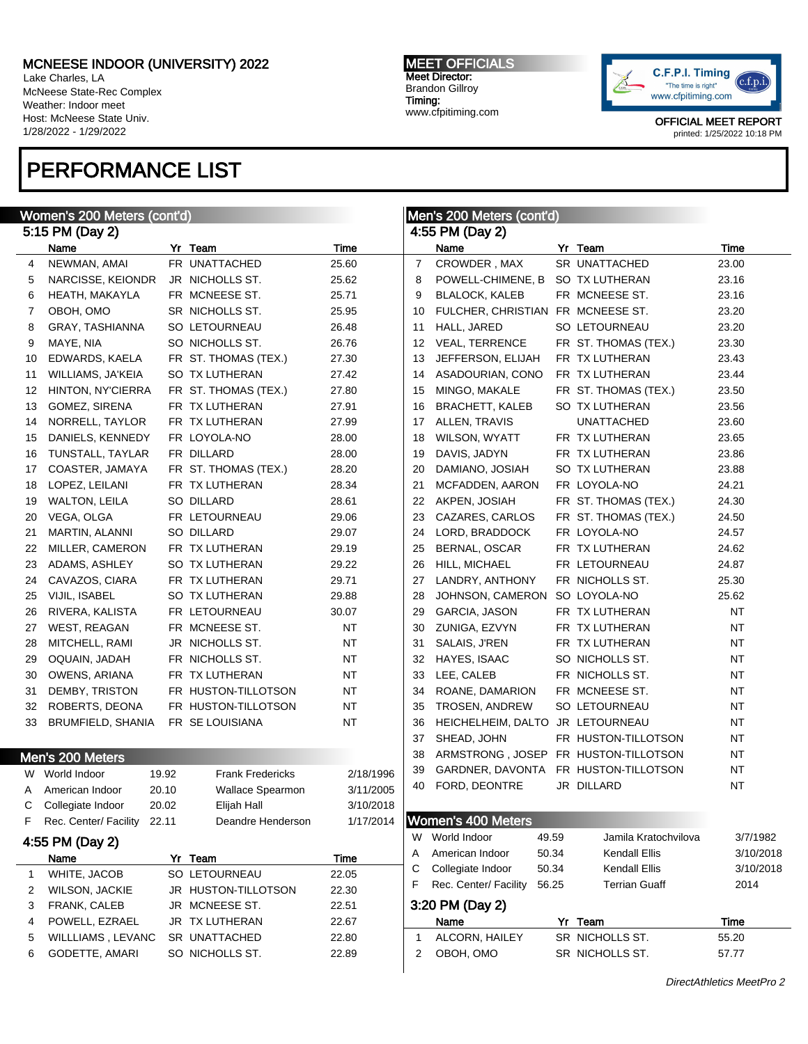Lake Charles, LA McNeese State-Rec Complex Weather: Indoor meet Host: McNeese State Univ. 1/28/2022 - 1/29/2022

## PERFORMANCE LIST

MEET OFFICIALS Meet Director: Brandon Gillroy Timing: www.cfpitiming.com



OFFICIAL MEET REPORT printed: 1/25/2022 10:18 PM

| Women's 200 Meters (cont'd) |                        |       |                         |           | Men's 200 Meters (cont'd) |                                   |       |                                      |                           |
|-----------------------------|------------------------|-------|-------------------------|-----------|---------------------------|-----------------------------------|-------|--------------------------------------|---------------------------|
|                             | 5:15 PM (Day 2)        |       |                         |           |                           | 4:55 PM (Day 2)                   |       |                                      |                           |
|                             | Name                   |       | Yr Team                 | Time      |                           | Name                              |       | Yr Team                              | Time                      |
| 4                           | NEWMAN, AMAI           |       | FR UNATTACHED           | 25.60     | $\overline{7}$            | CROWDER, MAX                      |       | SR UNATTACHED                        | 23.00                     |
| 5                           | NARCISSE, KEIONDR      |       | JR NICHOLLS ST.         | 25.62     | 8                         | POWELL-CHIMENE, B                 |       | SO TX LUTHERAN                       | 23.16                     |
| 6                           | HEATH, MAKAYLA         |       | FR MCNEESE ST.          | 25.71     | 9                         | <b>BLALOCK, KALEB</b>             |       | FR MCNEESE ST.                       | 23.16                     |
| 7                           | OBOH, OMO              |       | SR NICHOLLS ST.         | 25.95     | 10                        | FULCHER, CHRISTIAN FR MCNEESE ST. |       |                                      | 23.20                     |
| 8                           | <b>GRAY, TASHIANNA</b> |       | SO LETOURNEAU           | 26.48     | 11                        | HALL, JARED                       |       | SO LETOURNEAU                        | 23.20                     |
| 9                           | MAYE, NIA              |       | SO NICHOLLS ST.         | 26.76     | 12                        | <b>VEAL, TERRENCE</b>             |       | FR ST. THOMAS (TEX.)                 | 23.30                     |
| 10                          | EDWARDS, KAELA         |       | FR ST. THOMAS (TEX.)    | 27.30     | 13                        | JEFFERSON, ELIJAH                 |       | FR TX LUTHERAN                       | 23.43                     |
| 11                          | WILLIAMS, JA'KEIA      |       | <b>SO TX LUTHERAN</b>   | 27.42     | 14                        | ASADOURIAN, CONO                  |       | FR TX LUTHERAN                       | 23.44                     |
| 12                          | HINTON, NY'CIERRA      |       | FR ST. THOMAS (TEX.)    | 27.80     | 15                        | MINGO, MAKALE                     |       | FR ST. THOMAS (TEX.)                 | 23.50                     |
| 13                          | GOMEZ, SIRENA          |       | FR TX LUTHERAN          | 27.91     | 16                        | <b>BRACHETT, KALEB</b>            |       | SO TX LUTHERAN                       | 23.56                     |
| 14                          | NORRELL, TAYLOR        |       | FR TX LUTHERAN          | 27.99     | 17                        | ALLEN, TRAVIS                     |       | <b>UNATTACHED</b>                    | 23.60                     |
| 15                          | DANIELS, KENNEDY       |       | FR LOYOLA-NO            | 28.00     | 18                        | WILSON, WYATT                     |       | FR TX LUTHERAN                       | 23.65                     |
| 16                          | TUNSTALL, TAYLAR       |       | FR DILLARD              | 28.00     | 19                        | DAVIS, JADYN                      |       | FR TX LUTHERAN                       | 23.86                     |
| 17                          | COASTER, JAMAYA        |       | FR ST. THOMAS (TEX.)    | 28.20     | 20                        | DAMIANO, JOSIAH                   |       | SO TX LUTHERAN                       | 23.88                     |
| 18                          | LOPEZ, LEILANI         |       | FR TX LUTHERAN          | 28.34     | 21                        | MCFADDEN, AARON                   |       | FR LOYOLA-NO                         | 24.21                     |
| 19                          | <b>WALTON, LEILA</b>   |       | SO DILLARD              | 28.61     | 22                        | AKPEN, JOSIAH                     |       | FR ST. THOMAS (TEX.)                 | 24.30                     |
| 20                          | VEGA, OLGA             |       | FR LETOURNEAU           | 29.06     | 23                        | CAZARES, CARLOS                   |       | FR ST. THOMAS (TEX.)                 | 24.50                     |
| 21                          | MARTIN, ALANNI         |       | SO DILLARD              | 29.07     | 24                        | LORD, BRADDOCK                    |       | FR LOYOLA-NO                         | 24.57                     |
| 22                          | MILLER, CAMERON        |       | FR TX LUTHERAN          | 29.19     | 25                        | BERNAL, OSCAR                     |       | FR TX LUTHERAN                       | 24.62                     |
| 23                          | ADAMS, ASHLEY          |       | SO TX LUTHERAN          | 29.22     | 26                        | HILL, MICHAEL                     |       | FR LETOURNEAU                        | 24.87                     |
| 24                          | CAVAZOS, CIARA         |       | FR TX LUTHERAN          | 29.71     | 27                        | LANDRY, ANTHONY                   |       | FR NICHOLLS ST.                      | 25.30                     |
| 25                          | VIJIL, ISABEL          |       | SO TX LUTHERAN          | 29.88     | 28                        | JOHNSON, CAMERON SO LOYOLA-NO     |       |                                      | 25.62                     |
| 26                          | RIVERA, KALISTA        |       | FR LETOURNEAU           | 30.07     | 29                        | GARCIA, JASON                     |       | FR TX LUTHERAN                       | <b>NT</b>                 |
| 27                          | WEST, REAGAN           |       | FR MCNEESE ST.          | <b>NT</b> | 30                        | ZUNIGA, EZVYN                     |       | FR TX LUTHERAN                       | NT                        |
| 28                          | MITCHELL, RAMI         |       | JR NICHOLLS ST.         | <b>NT</b> | 31                        | SALAIS, J'REN                     |       | FR TX LUTHERAN                       | NT                        |
| 29                          | OQUAIN, JADAH          |       | FR NICHOLLS ST.         | <b>NT</b> | 32                        | HAYES, ISAAC                      |       | SO NICHOLLS ST.                      | NT                        |
| 30                          | OWENS, ARIANA          |       | FR TX LUTHERAN          | <b>NT</b> | 33                        | LEE, CALEB                        |       | FR NICHOLLS ST.                      | NT                        |
| 31                          | DEMBY, TRISTON         |       | FR HUSTON-TILLOTSON     | <b>NT</b> | 34                        | ROANE, DAMARION                   |       | FR MCNEESE ST.                       | NT                        |
| 32                          | ROBERTS, DEONA         |       | FR HUSTON-TILLOTSON     | <b>NT</b> | 35                        | <b>TROSEN, ANDREW</b>             |       | SO LETOURNEAU                        | NT                        |
| 33                          | BRUMFIELD, SHANIA      |       | FR SE LOUISIANA         | <b>NT</b> | 36                        | HEICHELHEIM, DALTO JR LETOURNEAU  |       |                                      | NT                        |
|                             |                        |       |                         |           | 37                        | SHEAD, JOHN                       |       | FR HUSTON-TILLOTSON                  | NT                        |
|                             | Men's 200 Meters       |       |                         |           | 38                        |                                   |       | ARMSTRONG, JOSEP FR HUSTON-TILLOTSON | NT                        |
|                             | W World Indoor         | 19.92 | <b>Frank Fredericks</b> | 2/18/1996 | 39                        | GARDNER, DAVONTA                  |       | FR HUSTON-TILLOTSON                  | NT                        |
| A                           | American Indoor        | 20.10 | <b>Wallace Spearmon</b> | 3/11/2005 | 40                        | FORD, DEONTRE                     |       | JR DILLARD                           | NT                        |
| С                           | Collegiate Indoor      | 20.02 | Elijah Hall             | 3/10/2018 |                           |                                   |       |                                      |                           |
| F                           | Rec. Center/ Facility  | 22.11 | Deandre Henderson       | 1/17/2014 |                           | <b>Women's 400 Meters</b>         |       |                                      |                           |
|                             |                        |       |                         |           |                           | W World Indoor                    | 49.59 | Jamila Kratochvilova                 | 3/7/1982                  |
|                             | 4:55 PM (Day 2)        |       |                         |           | A                         | American Indoor                   | 50.34 | Kendall Ellis                        | 3/10/2018                 |
|                             | Name                   |       | Yr Team                 | Time      | С                         | Collegiate Indoor                 | 50.34 | Kendall Ellis                        | 3/10/2018                 |
| 1                           | WHITE, JACOB           |       | SO LETOURNEAU           | 22.05     | F                         | Rec. Center/ Facility             | 56.25 | <b>Terrian Guaff</b>                 | 2014                      |
| 2                           | <b>WILSON, JACKIE</b>  |       | JR HUSTON-TILLOTSON     | 22.30     |                           |                                   |       |                                      |                           |
| 3                           | FRANK, CALEB           |       | JR MCNEESE ST.          | 22.51     |                           | 3:20 PM (Day 2)                   |       |                                      |                           |
| 4                           | POWELL, EZRAEL         |       | JR TX LUTHERAN          | 22.67     |                           | Name                              |       | Yr Team                              | Time                      |
| 5                           | WILLLIAMS, LEVANC      |       | SR UNATTACHED           | 22.80     | $\mathbf{1}$              | ALCORN, HAILEY                    |       | SR NICHOLLS ST.                      | 55.20                     |
| 6                           | GODETTE, AMARI         |       | SO NICHOLLS ST.         | 22.89     | 2                         | OBOH, OMO                         |       | SR NICHOLLS ST.                      | 57.77                     |
|                             |                        |       |                         |           |                           |                                   |       |                                      | DirectAthletics MeetPro 2 |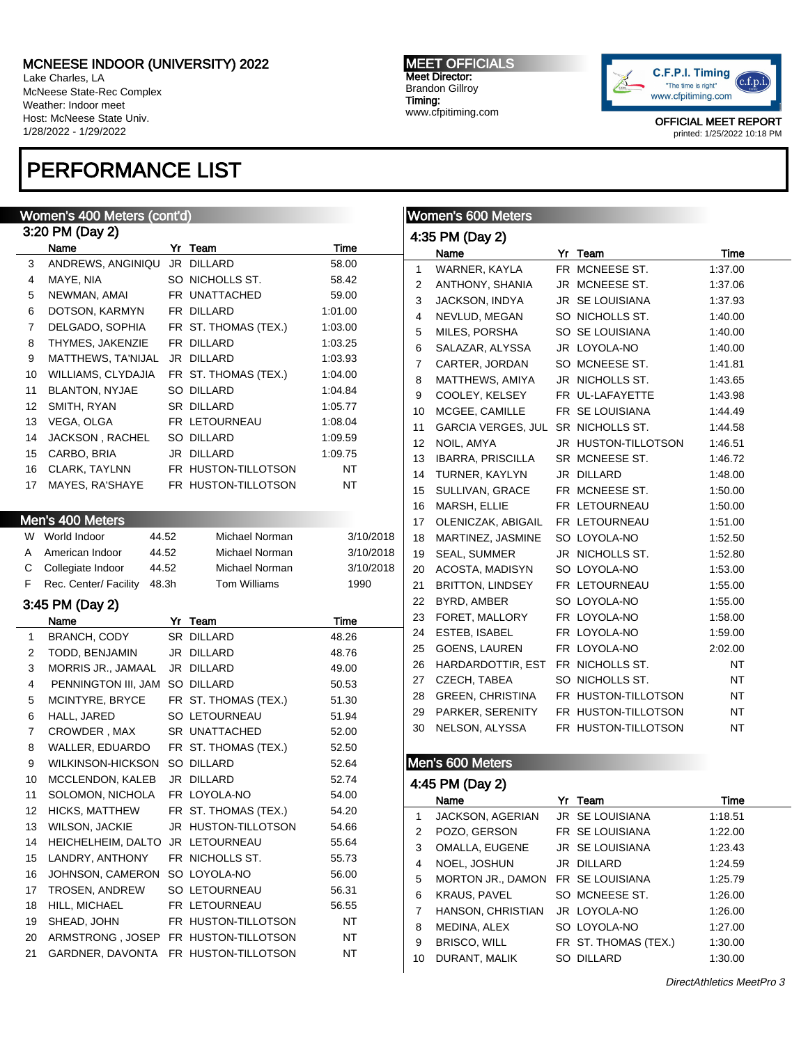Lake Charles, LA McNeese State-Rec Complex Weather: Indoor meet Host: McNeese State Univ. 1/28/2022 - 1/29/2022

## PERFORMANCE LIST

#### MEET OFFICIALS Meet Director: Brandon Gillroy Timing: www.cfpitiming.com



OFFICIAL MEET REPORT printed: 1/25/2022 10:18 PM

| Women's 400 Meters (cont'd)                              |                                                                                                                                                                                                                                                                                                                                                                                                                                                                                                                                                                                                                                    |                                  |                                                                                                                                                                                                                                                                                                                                                                                                                                                                                                                            |                                                                                                                                                                                                                                                                                                      | <b>Women's 600 Meters</b> |                                                         |                      |                                                                                                                                                                                                                                                                                                                                                                                                                                                                                                                                                                                                            |
|----------------------------------------------------------|------------------------------------------------------------------------------------------------------------------------------------------------------------------------------------------------------------------------------------------------------------------------------------------------------------------------------------------------------------------------------------------------------------------------------------------------------------------------------------------------------------------------------------------------------------------------------------------------------------------------------------|----------------------------------|----------------------------------------------------------------------------------------------------------------------------------------------------------------------------------------------------------------------------------------------------------------------------------------------------------------------------------------------------------------------------------------------------------------------------------------------------------------------------------------------------------------------------|------------------------------------------------------------------------------------------------------------------------------------------------------------------------------------------------------------------------------------------------------------------------------------------------------|---------------------------|---------------------------------------------------------|----------------------|------------------------------------------------------------------------------------------------------------------------------------------------------------------------------------------------------------------------------------------------------------------------------------------------------------------------------------------------------------------------------------------------------------------------------------------------------------------------------------------------------------------------------------------------------------------------------------------------------------|
| 3:20 PM (Day 2)                                          |                                                                                                                                                                                                                                                                                                                                                                                                                                                                                                                                                                                                                                    |                                  |                                                                                                                                                                                                                                                                                                                                                                                                                                                                                                                            |                                                                                                                                                                                                                                                                                                      | 4:35 PM (Day 2)           |                                                         |                      |                                                                                                                                                                                                                                                                                                                                                                                                                                                                                                                                                                                                            |
|                                                          |                                                                                                                                                                                                                                                                                                                                                                                                                                                                                                                                                                                                                                    |                                  |                                                                                                                                                                                                                                                                                                                                                                                                                                                                                                                            |                                                                                                                                                                                                                                                                                                      | Name                      |                                                         |                      | Time                                                                                                                                                                                                                                                                                                                                                                                                                                                                                                                                                                                                       |
|                                                          |                                                                                                                                                                                                                                                                                                                                                                                                                                                                                                                                                                                                                                    |                                  |                                                                                                                                                                                                                                                                                                                                                                                                                                                                                                                            | $\mathbf{1}$                                                                                                                                                                                                                                                                                         | WARNER, KAYLA             |                                                         |                      | 1:37.00                                                                                                                                                                                                                                                                                                                                                                                                                                                                                                                                                                                                    |
|                                                          |                                                                                                                                                                                                                                                                                                                                                                                                                                                                                                                                                                                                                                    |                                  |                                                                                                                                                                                                                                                                                                                                                                                                                                                                                                                            | 2                                                                                                                                                                                                                                                                                                    | ANTHONY, SHANIA           |                                                         |                      | 1:37.06                                                                                                                                                                                                                                                                                                                                                                                                                                                                                                                                                                                                    |
|                                                          |                                                                                                                                                                                                                                                                                                                                                                                                                                                                                                                                                                                                                                    |                                  |                                                                                                                                                                                                                                                                                                                                                                                                                                                                                                                            | 3                                                                                                                                                                                                                                                                                                    | JACKSON, INDYA            |                                                         |                      | 1:37.93                                                                                                                                                                                                                                                                                                                                                                                                                                                                                                                                                                                                    |
|                                                          |                                                                                                                                                                                                                                                                                                                                                                                                                                                                                                                                                                                                                                    |                                  |                                                                                                                                                                                                                                                                                                                                                                                                                                                                                                                            | 4                                                                                                                                                                                                                                                                                                    | NEVLUD, MEGAN             |                                                         |                      | 1:40.00                                                                                                                                                                                                                                                                                                                                                                                                                                                                                                                                                                                                    |
|                                                          |                                                                                                                                                                                                                                                                                                                                                                                                                                                                                                                                                                                                                                    |                                  |                                                                                                                                                                                                                                                                                                                                                                                                                                                                                                                            | 5                                                                                                                                                                                                                                                                                                    | MILES, PORSHA             |                                                         |                      | 1:40.00                                                                                                                                                                                                                                                                                                                                                                                                                                                                                                                                                                                                    |
|                                                          |                                                                                                                                                                                                                                                                                                                                                                                                                                                                                                                                                                                                                                    |                                  |                                                                                                                                                                                                                                                                                                                                                                                                                                                                                                                            | 6                                                                                                                                                                                                                                                                                                    | SALAZAR, ALYSSA           |                                                         |                      | 1:40.00                                                                                                                                                                                                                                                                                                                                                                                                                                                                                                                                                                                                    |
|                                                          |                                                                                                                                                                                                                                                                                                                                                                                                                                                                                                                                                                                                                                    |                                  |                                                                                                                                                                                                                                                                                                                                                                                                                                                                                                                            | 7                                                                                                                                                                                                                                                                                                    | CARTER, JORDAN            |                                                         |                      | 1:41.81                                                                                                                                                                                                                                                                                                                                                                                                                                                                                                                                                                                                    |
|                                                          |                                                                                                                                                                                                                                                                                                                                                                                                                                                                                                                                                                                                                                    |                                  |                                                                                                                                                                                                                                                                                                                                                                                                                                                                                                                            | 8                                                                                                                                                                                                                                                                                                    | MATTHEWS, AMIYA           |                                                         |                      | 1:43.65                                                                                                                                                                                                                                                                                                                                                                                                                                                                                                                                                                                                    |
|                                                          |                                                                                                                                                                                                                                                                                                                                                                                                                                                                                                                                                                                                                                    |                                  |                                                                                                                                                                                                                                                                                                                                                                                                                                                                                                                            | 9                                                                                                                                                                                                                                                                                                    | COOLEY, KELSEY            |                                                         |                      | 1:43.98                                                                                                                                                                                                                                                                                                                                                                                                                                                                                                                                                                                                    |
|                                                          |                                                                                                                                                                                                                                                                                                                                                                                                                                                                                                                                                                                                                                    |                                  |                                                                                                                                                                                                                                                                                                                                                                                                                                                                                                                            | 10                                                                                                                                                                                                                                                                                                   | MCGEE, CAMILLE            |                                                         |                      | 1.44.49                                                                                                                                                                                                                                                                                                                                                                                                                                                                                                                                                                                                    |
|                                                          |                                                                                                                                                                                                                                                                                                                                                                                                                                                                                                                                                                                                                                    |                                  |                                                                                                                                                                                                                                                                                                                                                                                                                                                                                                                            | 11                                                                                                                                                                                                                                                                                                   | <b>GARCIA VERGES, JUL</b> |                                                         |                      | 1.44.58                                                                                                                                                                                                                                                                                                                                                                                                                                                                                                                                                                                                    |
|                                                          |                                                                                                                                                                                                                                                                                                                                                                                                                                                                                                                                                                                                                                    |                                  |                                                                                                                                                                                                                                                                                                                                                                                                                                                                                                                            | 12                                                                                                                                                                                                                                                                                                   | NOIL, AMYA                |                                                         |                      | 1:46.51                                                                                                                                                                                                                                                                                                                                                                                                                                                                                                                                                                                                    |
|                                                          |                                                                                                                                                                                                                                                                                                                                                                                                                                                                                                                                                                                                                                    |                                  |                                                                                                                                                                                                                                                                                                                                                                                                                                                                                                                            | 13                                                                                                                                                                                                                                                                                                   | <b>IBARRA, PRISCILLA</b>  |                                                         |                      | 1:46.72                                                                                                                                                                                                                                                                                                                                                                                                                                                                                                                                                                                                    |
|                                                          |                                                                                                                                                                                                                                                                                                                                                                                                                                                                                                                                                                                                                                    |                                  |                                                                                                                                                                                                                                                                                                                                                                                                                                                                                                                            | 14                                                                                                                                                                                                                                                                                                   | TURNER, KAYLYN            |                                                         |                      | 1:48.00                                                                                                                                                                                                                                                                                                                                                                                                                                                                                                                                                                                                    |
|                                                          |                                                                                                                                                                                                                                                                                                                                                                                                                                                                                                                                                                                                                                    |                                  |                                                                                                                                                                                                                                                                                                                                                                                                                                                                                                                            | 15                                                                                                                                                                                                                                                                                                   | SULLIVAN, GRACE           |                                                         |                      | 1:50.00                                                                                                                                                                                                                                                                                                                                                                                                                                                                                                                                                                                                    |
|                                                          |                                                                                                                                                                                                                                                                                                                                                                                                                                                                                                                                                                                                                                    |                                  |                                                                                                                                                                                                                                                                                                                                                                                                                                                                                                                            | 16                                                                                                                                                                                                                                                                                                   | MARSH, ELLIE              |                                                         |                      | 1:50.00                                                                                                                                                                                                                                                                                                                                                                                                                                                                                                                                                                                                    |
|                                                          |                                                                                                                                                                                                                                                                                                                                                                                                                                                                                                                                                                                                                                    |                                  |                                                                                                                                                                                                                                                                                                                                                                                                                                                                                                                            | 17                                                                                                                                                                                                                                                                                                   | OLENICZAK, ABIGAIL        |                                                         |                      | 1:51.00                                                                                                                                                                                                                                                                                                                                                                                                                                                                                                                                                                                                    |
|                                                          |                                                                                                                                                                                                                                                                                                                                                                                                                                                                                                                                                                                                                                    | Michael Norman                   | 3/10/2018                                                                                                                                                                                                                                                                                                                                                                                                                                                                                                                  | 18                                                                                                                                                                                                                                                                                                   | MARTINEZ, JASMINE         |                                                         |                      | 1:52.50                                                                                                                                                                                                                                                                                                                                                                                                                                                                                                                                                                                                    |
| American Indoor                                          |                                                                                                                                                                                                                                                                                                                                                                                                                                                                                                                                                                                                                                    | Michael Norman                   | 3/10/2018                                                                                                                                                                                                                                                                                                                                                                                                                                                                                                                  | 19                                                                                                                                                                                                                                                                                                   | <b>SEAL, SUMMER</b>       |                                                         |                      | 1:52.80                                                                                                                                                                                                                                                                                                                                                                                                                                                                                                                                                                                                    |
| Collegiate Indoor                                        |                                                                                                                                                                                                                                                                                                                                                                                                                                                                                                                                                                                                                                    | Michael Norman                   | 3/10/2018                                                                                                                                                                                                                                                                                                                                                                                                                                                                                                                  | 20                                                                                                                                                                                                                                                                                                   | ACOSTA, MADISYN           |                                                         |                      | 1:53.00                                                                                                                                                                                                                                                                                                                                                                                                                                                                                                                                                                                                    |
| Rec. Center/ Facility                                    |                                                                                                                                                                                                                                                                                                                                                                                                                                                                                                                                                                                                                                    | Tom Williams                     | 1990                                                                                                                                                                                                                                                                                                                                                                                                                                                                                                                       | 21                                                                                                                                                                                                                                                                                                   | <b>BRITTON, LINDSEY</b>   |                                                         |                      | 1:55.00                                                                                                                                                                                                                                                                                                                                                                                                                                                                                                                                                                                                    |
|                                                          |                                                                                                                                                                                                                                                                                                                                                                                                                                                                                                                                                                                                                                    |                                  |                                                                                                                                                                                                                                                                                                                                                                                                                                                                                                                            | 22                                                                                                                                                                                                                                                                                                   | BYRD, AMBER               |                                                         |                      | 1:55.00                                                                                                                                                                                                                                                                                                                                                                                                                                                                                                                                                                                                    |
|                                                          |                                                                                                                                                                                                                                                                                                                                                                                                                                                                                                                                                                                                                                    |                                  |                                                                                                                                                                                                                                                                                                                                                                                                                                                                                                                            | 23                                                                                                                                                                                                                                                                                                   | FORET, MALLORY            |                                                         |                      | 1:58.00                                                                                                                                                                                                                                                                                                                                                                                                                                                                                                                                                                                                    |
|                                                          |                                                                                                                                                                                                                                                                                                                                                                                                                                                                                                                                                                                                                                    |                                  |                                                                                                                                                                                                                                                                                                                                                                                                                                                                                                                            | 24                                                                                                                                                                                                                                                                                                   | ESTEB, ISABEL             |                                                         |                      | 1:59.00                                                                                                                                                                                                                                                                                                                                                                                                                                                                                                                                                                                                    |
|                                                          |                                                                                                                                                                                                                                                                                                                                                                                                                                                                                                                                                                                                                                    |                                  |                                                                                                                                                                                                                                                                                                                                                                                                                                                                                                                            | 25                                                                                                                                                                                                                                                                                                   | <b>GOENS, LAUREN</b>      |                                                         |                      | 2:02.00                                                                                                                                                                                                                                                                                                                                                                                                                                                                                                                                                                                                    |
|                                                          |                                                                                                                                                                                                                                                                                                                                                                                                                                                                                                                                                                                                                                    |                                  |                                                                                                                                                                                                                                                                                                                                                                                                                                                                                                                            | 26                                                                                                                                                                                                                                                                                                   | HARDARDOTTIR, EST         |                                                         |                      | NT                                                                                                                                                                                                                                                                                                                                                                                                                                                                                                                                                                                                         |
|                                                          |                                                                                                                                                                                                                                                                                                                                                                                                                                                                                                                                                                                                                                    |                                  |                                                                                                                                                                                                                                                                                                                                                                                                                                                                                                                            | 27                                                                                                                                                                                                                                                                                                   | CZECH, TABEA              |                                                         |                      | NT                                                                                                                                                                                                                                                                                                                                                                                                                                                                                                                                                                                                         |
|                                                          |                                                                                                                                                                                                                                                                                                                                                                                                                                                                                                                                                                                                                                    |                                  |                                                                                                                                                                                                                                                                                                                                                                                                                                                                                                                            | 28                                                                                                                                                                                                                                                                                                   | <b>GREEN, CHRISTINA</b>   |                                                         |                      | <b>NT</b>                                                                                                                                                                                                                                                                                                                                                                                                                                                                                                                                                                                                  |
|                                                          |                                                                                                                                                                                                                                                                                                                                                                                                                                                                                                                                                                                                                                    |                                  |                                                                                                                                                                                                                                                                                                                                                                                                                                                                                                                            | 29                                                                                                                                                                                                                                                                                                   | PARKER, SERENITY          |                                                         |                      | <b>NT</b>                                                                                                                                                                                                                                                                                                                                                                                                                                                                                                                                                                                                  |
|                                                          |                                                                                                                                                                                                                                                                                                                                                                                                                                                                                                                                                                                                                                    |                                  |                                                                                                                                                                                                                                                                                                                                                                                                                                                                                                                            | 30                                                                                                                                                                                                                                                                                                   | NELSON, ALYSSA            |                                                         |                      | <b>NT</b>                                                                                                                                                                                                                                                                                                                                                                                                                                                                                                                                                                                                  |
|                                                          |                                                                                                                                                                                                                                                                                                                                                                                                                                                                                                                                                                                                                                    |                                  |                                                                                                                                                                                                                                                                                                                                                                                                                                                                                                                            |                                                                                                                                                                                                                                                                                                      |                           |                                                         |                      |                                                                                                                                                                                                                                                                                                                                                                                                                                                                                                                                                                                                            |
|                                                          |                                                                                                                                                                                                                                                                                                                                                                                                                                                                                                                                                                                                                                    |                                  |                                                                                                                                                                                                                                                                                                                                                                                                                                                                                                                            |                                                                                                                                                                                                                                                                                                      |                           |                                                         |                      |                                                                                                                                                                                                                                                                                                                                                                                                                                                                                                                                                                                                            |
|                                                          |                                                                                                                                                                                                                                                                                                                                                                                                                                                                                                                                                                                                                                    |                                  |                                                                                                                                                                                                                                                                                                                                                                                                                                                                                                                            |                                                                                                                                                                                                                                                                                                      |                           |                                                         |                      |                                                                                                                                                                                                                                                                                                                                                                                                                                                                                                                                                                                                            |
|                                                          |                                                                                                                                                                                                                                                                                                                                                                                                                                                                                                                                                                                                                                    |                                  |                                                                                                                                                                                                                                                                                                                                                                                                                                                                                                                            |                                                                                                                                                                                                                                                                                                      |                           |                                                         |                      |                                                                                                                                                                                                                                                                                                                                                                                                                                                                                                                                                                                                            |
|                                                          |                                                                                                                                                                                                                                                                                                                                                                                                                                                                                                                                                                                                                                    |                                  |                                                                                                                                                                                                                                                                                                                                                                                                                                                                                                                            |                                                                                                                                                                                                                                                                                                      | Name                      |                                                         |                      | Time                                                                                                                                                                                                                                                                                                                                                                                                                                                                                                                                                                                                       |
|                                                          |                                                                                                                                                                                                                                                                                                                                                                                                                                                                                                                                                                                                                                    |                                  |                                                                                                                                                                                                                                                                                                                                                                                                                                                                                                                            | 1                                                                                                                                                                                                                                                                                                    |                           |                                                         |                      | 1:18.51                                                                                                                                                                                                                                                                                                                                                                                                                                                                                                                                                                                                    |
|                                                          |                                                                                                                                                                                                                                                                                                                                                                                                                                                                                                                                                                                                                                    |                                  |                                                                                                                                                                                                                                                                                                                                                                                                                                                                                                                            | 2                                                                                                                                                                                                                                                                                                    | POZO, GERSON              |                                                         | FR SE LOUISIANA      | 1:22.00                                                                                                                                                                                                                                                                                                                                                                                                                                                                                                                                                                                                    |
| HEICHELHEIM, DALTO                                       |                                                                                                                                                                                                                                                                                                                                                                                                                                                                                                                                                                                                                                    | JR LETOURNEAU                    | 55.64                                                                                                                                                                                                                                                                                                                                                                                                                                                                                                                      | 3                                                                                                                                                                                                                                                                                                    | OMALLA, EUGENE            |                                                         | JR SE LOUISIANA      | 1:23.43                                                                                                                                                                                                                                                                                                                                                                                                                                                                                                                                                                                                    |
|                                                          |                                                                                                                                                                                                                                                                                                                                                                                                                                                                                                                                                                                                                                    | FR NICHOLLS ST.                  | 55.73                                                                                                                                                                                                                                                                                                                                                                                                                                                                                                                      | 4                                                                                                                                                                                                                                                                                                    | NOEL, JOSHUN              |                                                         | JR DILLARD           | 1:24.59                                                                                                                                                                                                                                                                                                                                                                                                                                                                                                                                                                                                    |
| LANDRY, ANTHONY                                          |                                                                                                                                                                                                                                                                                                                                                                                                                                                                                                                                                                                                                                    |                                  |                                                                                                                                                                                                                                                                                                                                                                                                                                                                                                                            |                                                                                                                                                                                                                                                                                                      |                           |                                                         |                      |                                                                                                                                                                                                                                                                                                                                                                                                                                                                                                                                                                                                            |
| JOHNSON, CAMERON                                         |                                                                                                                                                                                                                                                                                                                                                                                                                                                                                                                                                                                                                                    | SO LOYOLA-NO                     | 56.00                                                                                                                                                                                                                                                                                                                                                                                                                                                                                                                      | 5                                                                                                                                                                                                                                                                                                    | MORTON JR., DAMON         |                                                         | FR SE LOUISIANA      | 1:25.79                                                                                                                                                                                                                                                                                                                                                                                                                                                                                                                                                                                                    |
| <b>TROSEN, ANDREW</b>                                    |                                                                                                                                                                                                                                                                                                                                                                                                                                                                                                                                                                                                                                    | SO LETOURNEAU                    | 56.31                                                                                                                                                                                                                                                                                                                                                                                                                                                                                                                      | 6                                                                                                                                                                                                                                                                                                    | <b>KRAUS, PAVEL</b>       |                                                         | SO MCNEESE ST.       | 1:26.00                                                                                                                                                                                                                                                                                                                                                                                                                                                                                                                                                                                                    |
| HILL, MICHAEL                                            |                                                                                                                                                                                                                                                                                                                                                                                                                                                                                                                                                                                                                                    | FR LETOURNEAU                    | 56.55                                                                                                                                                                                                                                                                                                                                                                                                                                                                                                                      | 7                                                                                                                                                                                                                                                                                                    | HANSON, CHRISTIAN         |                                                         | JR LOYOLA-NO         | 1:26.00                                                                                                                                                                                                                                                                                                                                                                                                                                                                                                                                                                                                    |
| SHEAD, JOHN                                              |                                                                                                                                                                                                                                                                                                                                                                                                                                                                                                                                                                                                                                    | FR HUSTON-TILLOTSON              | NT                                                                                                                                                                                                                                                                                                                                                                                                                                                                                                                         | 8                                                                                                                                                                                                                                                                                                    | MEDINA, ALEX              |                                                         | SO LOYOLA-NO         | 1.27.00                                                                                                                                                                                                                                                                                                                                                                                                                                                                                                                                                                                                    |
| ARMSTRONG, JOSEP<br>GARDNER, DAVONTA FR HUSTON-TILLOTSON |                                                                                                                                                                                                                                                                                                                                                                                                                                                                                                                                                                                                                                    | FR HUSTON-TILLOTSON              | NT<br>NT                                                                                                                                                                                                                                                                                                                                                                                                                                                                                                                   | 9                                                                                                                                                                                                                                                                                                    | BRISCO, WILL              |                                                         | FR ST. THOMAS (TEX.) | 1:30.00                                                                                                                                                                                                                                                                                                                                                                                                                                                                                                                                                                                                    |
| 12                                                       | Name<br>ANDREWS, ANGINIQU<br>MAYE, NIA<br>NEWMAN, AMAI<br>DOTSON, KARMYN<br>DELGADO, SOPHIA<br>THYMES, JAKENZIE<br>MATTHEWS, TA'NIJAL<br>WILLIAMS, CLYDAJIA<br><b>BLANTON, NYJAE</b><br>SMITH, RYAN<br>VEGA, OLGA<br>JACKSON, RACHEL<br>CARBO, BRIA<br>CLARK, TAYLNN<br>MAYES, RA'SHAYE<br>Men's 400 Meters<br>W World Indoor<br>3:45 PM (Day 2)<br>Name<br><b>BRANCH, CODY</b><br>TODD, BENJAMIN<br>MORRIS JR., JAMAAL<br>PENNINGTON III, JAM<br>MCINTYRE, BRYCE<br>HALL, JARED<br>CROWDER, MAX<br>WALLER, EDUARDO<br><b>WILKINSON-HICKSON</b><br>MCCLENDON, KALEB<br>SOLOMON, NICHOLA<br>HICKS, MATTHEW<br><b>WILSON, JACKIE</b> | 44.52<br>44.52<br>44.52<br>48.3h | Yr Team<br>JR DILLARD<br>SO NICHOLLS ST.<br>FR UNATTACHED<br>FR DILLARD<br>FR ST. THOMAS (TEX.)<br>FR DILLARD<br>JR DILLARD<br>FR ST. THOMAS (TEX.)<br>SO DILLARD<br>SR DILLARD<br>FR LETOURNEAU<br>SO DILLARD<br>JR DILLARD<br>FR HUSTON-TILLOTSON<br>FR HUSTON-TILLOTSON<br>Yr Team<br>SR DILLARD<br>JR DILLARD<br>JR DILLARD<br>SO DILLARD<br>FR ST. THOMAS (TEX.)<br>SO LETOURNEAU<br>SR UNATTACHED<br>FR ST. THOMAS (TEX.)<br>SO DILLARD<br>JR DILLARD<br>FR LOYOLA-NO<br>FR ST. THOMAS (TEX.)<br>JR HUSTON-TILLOTSON | <b>Time</b><br>58.00<br>58.42<br>59.00<br>1:01.00<br>1:03.00<br>1:03.25<br>1:03.93<br>1:04.00<br>1:04.84<br>1:05.77<br>1:08.04<br>1:09.59<br>1:09.75<br>NT<br><b>NT</b><br>Time<br>48.26<br>48.76<br>49.00<br>50.53<br>51.30<br>51.94<br>52.00<br>52.50<br>52.64<br>52.74<br>54.00<br>54.20<br>54.66 |                           | Men's 600 Meters<br>4:45 PM (Day 2)<br>JACKSON, AGERIAN |                      | Yr Team<br>FR MCNEESE ST.<br>JR MCNEESE ST.<br>JR SE LOUISIANA<br>SO NICHOLLS ST.<br>SO SE LOUISIANA<br>JR LOYOLA-NO<br>SO MCNEESE ST.<br>JR NICHOLLS ST.<br>FR UL-LAFAYETTE<br>FR SE LOUISIANA<br>SR NICHOLLS ST.<br>JR HUSTON-TILLOTSON<br>SR MCNEESE ST.<br>JR DILLARD<br>FR MCNEESE ST.<br>FR LETOURNEAU<br>FR LETOURNEAU<br>SO LOYOLA-NO<br>JR NICHOLLS ST.<br>SO LOYOLA-NO<br>FR LETOURNEAU<br>SO LOYOLA-NO<br>FR LOYOLA-NO<br>FR LOYOLA-NO<br>FR LOYOLA-NO<br>FR NICHOLLS ST.<br>SO NICHOLLS ST.<br>FR HUSTON-TILLOTSON<br>FR HUSTON-TILLOTSON<br>FR HUSTON-TILLOTSON<br>Yr Team<br>JR SE LOUISIANA |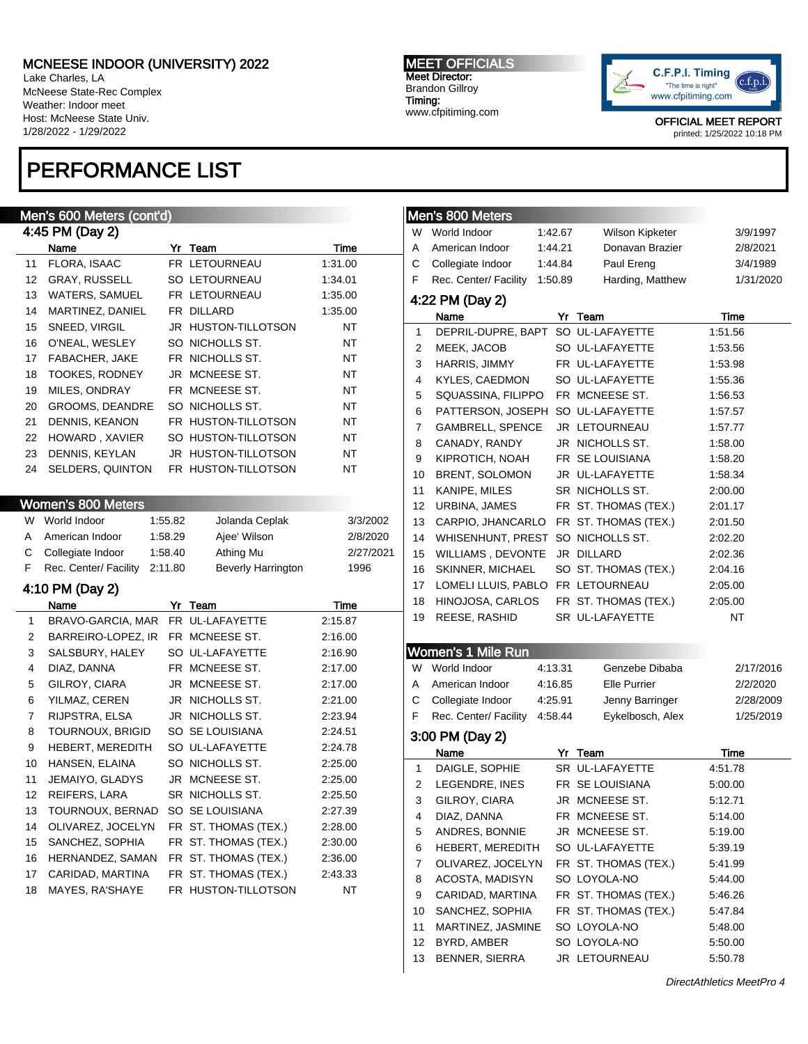Lake Charles, LA McNeese State-Rec Complex Weather: Indoor meet Host: McNeese State Univ. 1/28/2022 - 1/29/2022

## PERFORMANCE LIST

## Men's 600 Meters (cont'd)

|    | 4:45 PM (Day 2)         |    |                            |         |  |  |  |  |  |  |
|----|-------------------------|----|----------------------------|---------|--|--|--|--|--|--|
|    | Name                    | Yr | Team                       | Time    |  |  |  |  |  |  |
| 11 | FLORA, ISAAC            |    | FR LETOURNEAU              | 1:31.00 |  |  |  |  |  |  |
| 12 | <b>GRAY, RUSSELL</b>    |    | <b>SO LETOURNEAU</b>       | 1:34.01 |  |  |  |  |  |  |
| 13 | <b>WATERS, SAMUEL</b>   |    | FR LETOURNEAU              | 1:35.00 |  |  |  |  |  |  |
| 14 | MARTINEZ, DANIEL        |    | FR DILLARD                 | 1:35.00 |  |  |  |  |  |  |
| 15 | SNEED, VIRGIL           |    | <b>JR HUSTON-TILLOTSON</b> | NT      |  |  |  |  |  |  |
| 16 | O'NEAL, WESLEY          |    | SO NICHOLLS ST.            | NT      |  |  |  |  |  |  |
| 17 | <b>FABACHER, JAKE</b>   |    | FR NICHOLLS ST.            | NT      |  |  |  |  |  |  |
| 18 | <b>TOOKES, RODNEY</b>   |    | JR MCNEESE ST.             | NT      |  |  |  |  |  |  |
| 19 | MILES, ONDRAY           |    | FR MCNEESE ST.             | NT      |  |  |  |  |  |  |
| 20 | <b>GROOMS, DEANDRE</b>  |    | SO NICHOLLS ST.            | NT      |  |  |  |  |  |  |
| 21 | DENNIS, KEANON          |    | FR HUSTON-TILLOTSON        | NT      |  |  |  |  |  |  |
| 22 | HOWARD, XAVIER          |    | SO HUSTON-TILLOTSON        | NT      |  |  |  |  |  |  |
| 23 | DENNIS, KEYLAN          |    | <b>JR HUSTON-TILLOTSON</b> | NT      |  |  |  |  |  |  |
| 24 | <b>SELDERS, QUINTON</b> |    | FR HUSTON-TILLOTSON        | NT      |  |  |  |  |  |  |

### Women's 800 Meters

| W  | World Indoor                  | 1:55.82 | Jolanda Ceplak            | 3/3/2002  |
|----|-------------------------------|---------|---------------------------|-----------|
| A  | American Indoor               | 1:58.29 | Ajee' Wilson              | 2/8/2020  |
|    | C Collegiate Indoor           | 1:58.40 | Athing Mu                 | 2/27/2021 |
| F. | Rec. Center/ Facility 2:11.80 |         | <b>Beverly Harrington</b> | 1996      |

## 4:10 PM (Day 2)

|    | Name               | Yr | Team                 | Time    |
|----|--------------------|----|----------------------|---------|
| 1  | BRAVO-GARCIA, MAR  |    | FR UL-LAFAYETTE      | 2:15.87 |
| 2  | BARREIRO-LOPEZ, IR |    | FR MCNEESE ST.       | 2:16.00 |
| 3  | SALSBURY, HALEY    |    | SO UL-LAFAYETTE      | 2:16.90 |
| 4  | DIAZ, DANNA        |    | FR MCNEESE ST.       | 2:17.00 |
| 5  | GILROY, CIARA      |    | JR MCNEESE ST.       | 2:17.00 |
| 6  | YILMAZ, CEREN      |    | JR NICHOLLS ST.      | 2:21.00 |
| 7  | RIJPSTRA, ELSA     |    | JR NICHOLLS ST.      | 2:23.94 |
| 8  | TOURNOUX, BRIGID   |    | SO SE LOUISIANA      | 2:24.51 |
| 9  | HEBERT, MEREDITH   |    | SO UL-LAFAYETTE      | 2:24.78 |
| 10 | HANSEN, ELAINA     |    | SO NICHOLLS ST.      | 2:25.00 |
| 11 | JEMAIYO, GLADYS    |    | JR MCNEESE ST.       | 2:25.00 |
| 12 | REIFERS, LARA      |    | SR NICHOLLS ST.      | 2:25.50 |
| 13 | TOURNOUX, BERNAD   |    | SO SE LOUISIANA      | 2:27.39 |
| 14 | OLIVAREZ, JOCELYN  |    | FR ST. THOMAS (TEX.) | 2:28.00 |
| 15 | SANCHEZ, SOPHIA    |    | FR ST. THOMAS (TEX.) | 2:30.00 |
| 16 | HERNANDEZ, SAMAN   |    | FR ST. THOMAS (TEX.) | 2:36.00 |
| 17 | CARIDAD, MARTINA   |    | FR ST. THOMAS (TEX.) | 2:43.33 |
| 18 | MAYES, RA'SHAYE    |    | FR HUSTON-TILLOTSON  | NT      |

#### MEET OFFICIALS Meet Director: Brandon Gillroy Timing: www.cfpitiming.com



OFFICIAL MEET REPORT

printed: 1/25/2022 10:18 PM

|    | Men's 800 Meters      |         |                      |           |
|----|-----------------------|---------|----------------------|-----------|
| W  | World Indoor          | 1:42.67 | Wilson Kipketer      | 3/9/1997  |
| Α  | American Indoor       | 1:44.21 | Donavan Brazier      | 2/8/2021  |
| C  | Collegiate Indoor     | 1:44.84 | Paul Ereng           | 3/4/1989  |
| F  | Rec. Center/ Facility | 1:50.89 | Harding, Matthew     | 1/31/2020 |
|    |                       |         |                      |           |
|    | 4:22 PM (Day 2)       |         |                      |           |
|    | Name                  |         | Yr Team              | Time      |
| 1  | DEPRIL-DUPRE, BAPT    |         | SO UL-LAFAYETTE      | 1:51.56   |
| 2  | MEEK, JACOB           |         | SO UL-LAFAYETTE      | 1:53.56   |
| 3  | HARRIS, JIMMY         |         | FR UL-LAFAYETTE      | 1:53.98   |
| 4  | KYLES, CAEDMON        |         | SO UL-LAFAYETTE      | 1:55.36   |
| 5  | SQUASSINA, FILIPPO    |         | FR MCNEESE ST.       | 1:56.53   |
| 6  | PATTERSON, JOSEPH     |         | SO UL-LAFAYETTE      | 1:57.57   |
| 7  | GAMBRELL, SPENCE      |         | JR LETOURNEAU        | 1:57.77   |
| 8  | CANADY, RANDY         |         | JR NICHOLLS ST.      | 1:58.00   |
| 9  | KIPROTICH, NOAH       |         | FR SE LOUISIANA      | 1:58.20   |
| 10 | BRENT, SOLOMON        |         | JR UL-LAFAYETTE      | 1:58.34   |
| 11 | KANIPE, MILES         |         | SR NICHOLLS ST.      | 2:00.00   |
| 12 | URBINA, JAMES         |         | FR ST. THOMAS (TEX.) | 2:01.17   |
| 13 | CARPIO, JHANCARLO     |         | FR ST. THOMAS (TEX.) | 2:01.50   |
| 14 | WHISENHUNT, PREST     |         | SO NICHOLLS ST.      | 2:02.20   |
| 15 | WILLIAMS, DEVONTE     |         | JR DILLARD           | 2:02.36   |
| 16 | SKINNER, MICHAEL      |         | SO ST. THOMAS (TEX.) | 2:04.16   |
| 17 | LOMELI LLUIS, PABLO   |         | FR LETOURNEAU        | 2:05.00   |
| 18 | HINOJOSA, CARLOS      |         | FR ST. THOMAS (TEX.) | 2:05.00   |
| 19 | REESE, RASHID         |         | SR UL-LAFAYETTE      | NT        |
|    |                       |         |                      |           |
|    | Women's 1 Mile Run    |         |                      |           |
| W  | World Indoor          | 4:13.31 | Genzebe Dibaba       | 2/17/2016 |
| Α  | American Indoor       | 4:16.85 | <b>Elle Purrier</b>  | 2/2/2020  |
| С  | Collegiate Indoor     | 4:25.91 | Jenny Barringer      | 2/28/2009 |
| F  | Rec. Center/ Facility | 4:58.44 | Eykelbosch, Alex     | 1/25/2019 |
|    | 3:00 PM (Day 2)       |         |                      |           |
|    | Name                  |         | Yr Team              | Time      |
| 1  | DAIGLE, SOPHIE        |         | SR UL-LAFAYETTE      | 4:51.78   |
| 2  | LEGENDRE, INES        |         | FR SE LOUISIANA      | 5:00.00   |
| 3  | GILROY, CIARA         |         | JR MCNEESE ST.       | 5:12.71   |
| 4  | DIAZ, DANNA           |         | FR MCNEESE ST.       | 5:14.00   |
| 5  | ANDRES, BONNIE        |         | JR MCNEESE ST.       | 5:19.00   |
| 6  | HEBERT, MEREDITH      |         | SO UL-LAFAYETTE      | 5:39.19   |
| 7  | OLIVAREZ, JOCELYN     |         | FR ST. THOMAS (TEX.) | 5:41.99   |
| 8  | ACOSTA, MADISYN       |         | SO LOYOLA-NO         | 5:44.00   |
| 9  | CARIDAD, MARTINA      |         | FR ST. THOMAS (TEX.) | 5:46.26   |
| 10 | SANCHEZ, SOPHIA       |         | FR ST. THOMAS (TEX.) | 5:47.84   |
| 11 | MARTINEZ, JASMINE     |         | SO LOYOLA-NO         | 5:48.00   |
| 12 | BYRD, AMBER           |         | SO LOYOLA-NO         | 5:50.00   |
| 13 | BENNER, SIERRA        |         | JR LETOURNEAU        | 5:50.78   |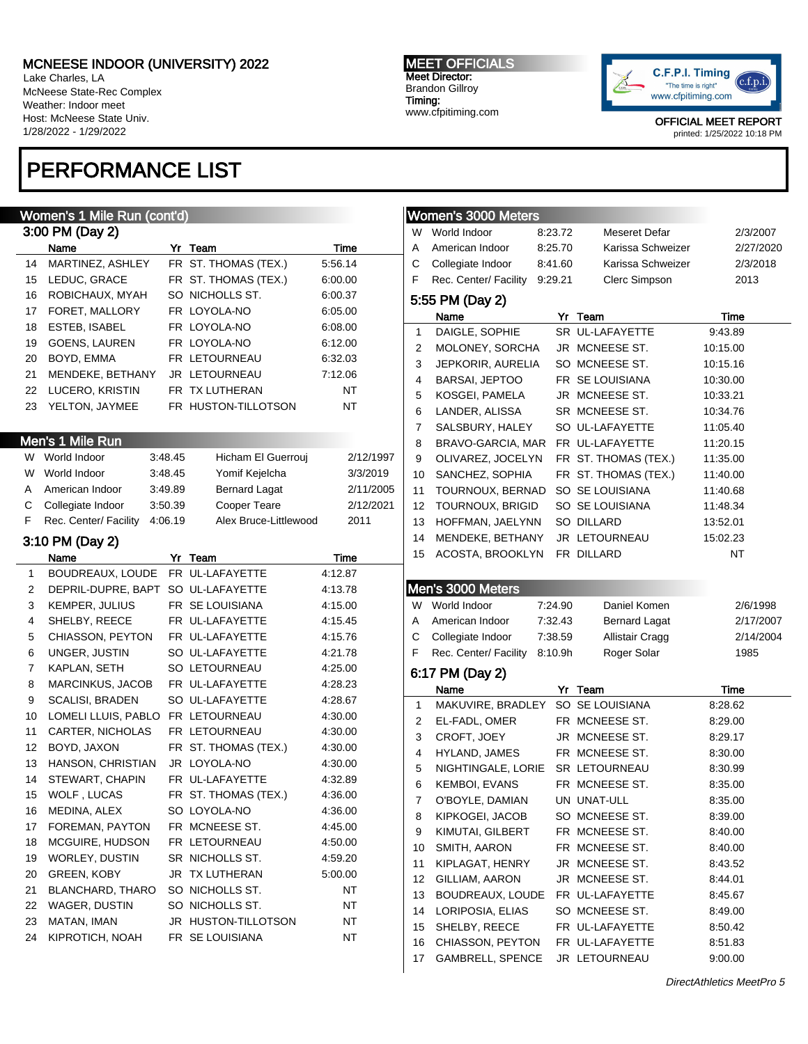Lake Charles, LA McNeese State-Rec Complex Weather: Indoor meet Host: McNeese State Univ. 1/28/2022 - 1/29/2022

## PERFORMANCE LIST

#### MEET OFFICIALS Meet Director: Brandon Gillroy Timing:

www.cfpitiming.com



OFFICIAL MEET REPORT

printed: 1/25/2022 10:18 PM

|    | Women's 1 Mile Run (cont'd)        |         |                       |           |                | Women's 3000 Meters     |         |                      |           |
|----|------------------------------------|---------|-----------------------|-----------|----------------|-------------------------|---------|----------------------|-----------|
|    | 3:00 PM (Day 2)                    |         |                       |           | W              | World Indoor            | 8:23.72 | Meseret Defar        | 2/3/2007  |
|    | Name                               |         | Yr Team               | Time      | Α              | American Indoor         | 8:25.70 | Karissa Schweizer    | 2/27/2020 |
| 14 | MARTINEZ, ASHLEY                   |         | FR ST. THOMAS (TEX.)  | 5.56.14   | C              | Collegiate Indoor       | 8:41.60 | Karissa Schweizer    | 2/3/2018  |
| 15 | LEDUC, GRACE                       |         | FR ST. THOMAS (TEX.)  | 6:00.00   | F              | Rec. Center/ Facility   | 9:29.21 | Clerc Simpson        | 2013      |
| 16 | ROBICHAUX, MYAH                    |         | SO NICHOLLS ST.       | 6:00.37   |                | 5:55 PM (Day 2)         |         |                      |           |
| 17 | FORET, MALLORY                     |         | FR LOYOLA-NO          | 6:05.00   |                | Name                    |         | Yr Team              | Time      |
| 18 | ESTEB, ISABEL                      |         | FR LOYOLA-NO          | 6:08.00   | 1              | DAIGLE, SOPHIE          |         | SR UL-LAFAYETTE      | 9:43.89   |
| 19 | <b>GOENS, LAUREN</b>               |         | FR LOYOLA-NO          | 6:12.00   | 2              | MOLONEY, SORCHA         |         | JR MCNEESE ST.       | 10:15.00  |
| 20 | BOYD, EMMA                         |         | FR LETOURNEAU         | 6:32.03   | 3              | JEPKORIR, AURELIA       |         | SO MCNEESE ST.       | 10:15.16  |
| 21 | MENDEKE, BETHANY                   |         | JR LETOURNEAU         | 7:12.06   | 4              | BARSAI, JEPTOO          |         | FR SE LOUISIANA      | 10:30.00  |
| 22 | LUCERO, KRISTIN                    |         | FR TX LUTHERAN        | NT        | 5              | KOSGEI, PAMELA          |         | JR MCNEESE ST.       | 10:33.21  |
| 23 | YELTON, JAYMEE                     |         | FR HUSTON-TILLOTSON   | <b>NT</b> | 6              | LANDER, ALISSA          |         | SR MCNEESE ST.       | 10:34.76  |
|    |                                    |         |                       |           | 7              | SALSBURY, HALEY         |         | SO UL-LAFAYETTE      | 11:05.40  |
|    | Men's 1 Mile Run                   |         |                       |           | 8              | BRAVO-GARCIA, MAR       |         | FR UL-LAFAYETTE      | 11:20.15  |
|    | W World Indoor                     | 3:48.45 | Hicham El Guerrouj    | 2/12/1997 | 9              | OLIVAREZ, JOCELYN       |         | FR ST. THOMAS (TEX.) | 11:35.00  |
| W  | World Indoor                       | 3:48.45 | Yomif Kejelcha        | 3/3/2019  | 10             | SANCHEZ, SOPHIA         |         | FR ST. THOMAS (TEX.) | 11:40.00  |
| A  | American Indoor                    | 3:49.89 | <b>Bernard Lagat</b>  | 2/11/2005 | 11             | TOURNOUX, BERNAD        |         | SO SE LOUISIANA      | 11:40.68  |
| С  | Collegiate Indoor                  | 3:50.39 | Cooper Teare          | 2/12/2021 | 12             | <b>TOURNOUX, BRIGID</b> |         | SO SE LOUISIANA      | 11:48.34  |
| F  | Rec. Center/ Facility              | 4:06.19 | Alex Bruce-Littlewood | 2011      | 13             | HOFFMAN, JAELYNN        |         | <b>SO DILLARD</b>    | 13:52.01  |
|    |                                    |         |                       |           | 14             | MENDEKE, BETHANY        |         | JR LETOURNEAU        | 15:02.23  |
|    | 3:10 PM (Day 2)                    |         |                       |           | 15             | ACOSTA, BROOKLYN        |         | FR DILLARD           | NT        |
|    | Name                               |         | Yr Team               | Time      |                |                         |         |                      |           |
| 1  | BOUDREAUX, LOUDE FR UL-LAFAYETTE   |         |                       | 4:12.87   |                |                         |         |                      |           |
| 2  | DEPRIL-DUPRE, BAPT SO UL-LAFAYETTE |         |                       | 4:13.78   |                | Men's 3000 Meters       |         |                      |           |
| 3  | KEMPER, JULIUS                     |         | FR SE LOUISIANA       | 4:15.00   | W.             | World Indoor            | 7:24.90 | Daniel Komen         | 2/6/1998  |
| 4  | SHELBY, REECE                      |         | FR UL-LAFAYETTE       | 4:15.45   | A              | American Indoor         | 7:32.43 | <b>Bernard Lagat</b> | 2/17/2007 |
| 5  | CHIASSON, PEYTON                   |         | FR UL-LAFAYETTE       | 4:15.76   | С              | Collegiate Indoor       | 7:38.59 | Allistair Cragg      | 2/14/2004 |
| 6  | UNGER, JUSTIN                      |         | SO UL-LAFAYETTE       | 4:21.78   | F              | Rec. Center/ Facility   | 8:10.9h | Roger Solar          | 1985      |
| 7  | KAPLAN, SETH                       |         | SO LETOURNEAU         | 4:25.00   |                | 6:17 PM (Day 2)         |         |                      |           |
| 8  | MARCINKUS, JACOB                   |         | FR UL-LAFAYETTE       | 4:28.23   |                | Name                    |         | Yr Team              | Time      |
| 9  | <b>SCALISI, BRADEN</b>             |         | SO UL-LAFAYETTE       | 4:28.67   | 1              | MAKUVIRE, BRADLEY       |         | SO SE LOUISIANA      | 8:28.62   |
| 10 | LOMELI LLUIS, PABLO FR LETOURNEAU  |         |                       | 4:30.00   | 2              | EL-FADL, OMER           |         | FR MCNEESE ST.       | 8:29.00   |
| 11 | CARTER, NICHOLAS                   |         | FR LETOURNEAU         | 4:30.00   | 3              | CROFT, JOEY             |         | JR MCNEESE ST.       | 8:29.17   |
| 12 | BOYD, JAXON                        |         | FR ST. THOMAS (TEX.)  | 4:30.00   | 4              | HYLAND, JAMES           |         | FR MCNEESE ST.       | 8:30.00   |
| 13 | HANSON, CHRISTIAN                  |         | JR LOYOLA-NO          | 4:30.00   | 5              | NIGHTINGALE, LORIE      |         | SR LETOURNEAU        | 8:30.99   |
| 14 | STEWART, CHAPIN                    |         | FR UL-LAFAYETTE       | 4:32.89   | 6              | <b>KEMBOI, EVANS</b>    |         | FR MCNEESE ST.       | 8:35.00   |
| 15 | WOLF, LUCAS                        |         | FR ST. THOMAS (TEX.)  | 4:36.00   | $\overline{7}$ | O'BOYLE, DAMIAN         |         | UN UNAT-ULL          | 8:35.00   |
| 16 | MEDINA, ALEX                       |         | SO LOYOLA-NO          | 4:36.00   | 8              | KIPKOGEI, JACOB         |         | SO MCNEESE ST.       | 8:39.00   |
| 17 | FOREMAN, PAYTON                    |         | FR MCNEESE ST.        | 4:45.00   | 9              | KIMUTAI, GILBERT        |         | FR MCNEESE ST.       | 8:40.00   |
| 18 | MCGUIRE, HUDSON                    |         | FR LETOURNEAU         | 4:50.00   | 10             | SMITH, AARON            |         | FR MCNEESE ST.       | 8:40.00   |
| 19 | WORLEY, DUSTIN                     |         | SR NICHOLLS ST.       | 4:59.20   | 11             | KIPLAGAT, HENRY         |         | JR MCNEESE ST.       | 8:43.52   |
| 20 | <b>GREEN, KOBY</b>                 |         | JR TX LUTHERAN        | 5:00.00   | 12             | GILLIAM, AARON          |         | JR MCNEESE ST.       | 8:44.01   |
| 21 | <b>BLANCHARD, THARO</b>            |         | SO NICHOLLS ST.       | NT        | 13             | BOUDREAUX, LOUDE        |         | FR UL-LAFAYETTE      | 8:45.67   |
| 22 | WAGER, DUSTIN                      |         | SO NICHOLLS ST.       | NT        | 14             | LORIPOSIA, ELIAS        |         | SO MCNEESE ST.       | 8:49.00   |
| 23 | MATAN, IMAN                        |         | JR HUSTON-TILLOTSON   | NT        | 15             | SHELBY, REECE           |         | FR UL-LAFAYETTE      | 8:50.42   |
| 24 | KIPROTICH, NOAH                    |         | FR SE LOUISIANA       | NT        | 16             | CHIASSON, PEYTON        |         | FR UL-LAFAYETTE      | 8:51.83   |
|    |                                    |         |                       |           |                | <b>GAMBRELL, SPENCE</b> |         |                      |           |
|    |                                    |         |                       |           | 17             |                         |         | JR LETOURNEAU        | 9:00.00   |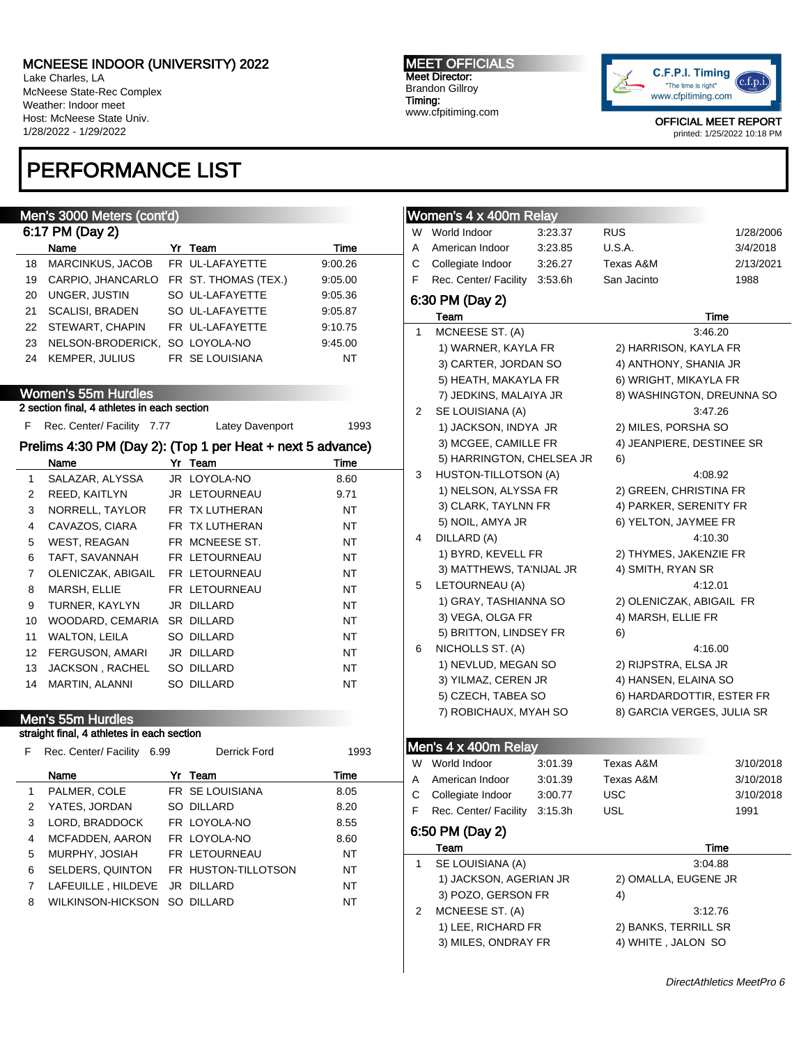Lake Charles, LA McNeese State-Rec Complex Weather: Indoor meet Host: McNeese State Univ. 1/28/2022 - 1/29/2022

## PERFORMANCE LIST

### Men's 3000 Meters (cont'd)

|    | 6:17 PM (Day 2)         |  |                      |         |  |  |  |  |  |  |  |
|----|-------------------------|--|----------------------|---------|--|--|--|--|--|--|--|
|    | Name                    |  | Yr Team              | Time    |  |  |  |  |  |  |  |
| 18 | <b>MARCINKUS, JACOB</b> |  | FR UL-LAFAYETTE      | 9:00.26 |  |  |  |  |  |  |  |
| 19 | CARPIO, JHANCARLO       |  | FR ST. THOMAS (TEX.) | 9:05.00 |  |  |  |  |  |  |  |
| 20 | UNGER, JUSTIN           |  | SO UL-LAFAYETTE      | 9:05.36 |  |  |  |  |  |  |  |
| 21 | <b>SCALISI, BRADEN</b>  |  | SO UL-LAFAYETTE      | 9:05.87 |  |  |  |  |  |  |  |
|    | 22 STEWART, CHAPIN      |  | FR UL-LAFAYETTE      | 9:10.75 |  |  |  |  |  |  |  |
| 23 | NELSON-BRODERICK.       |  | SO LOYOLA-NO         | 9:45.00 |  |  |  |  |  |  |  |
| 24 | <b>KEMPER, JULIUS</b>   |  | FR SE LOUISIANA      | NT      |  |  |  |  |  |  |  |

### Women's 55m Hurdles

2 section final, 4 athletes in each section

F Rec. Center/ Facility 7.77 Latey Davenport 1993

### Prelims 4:30 PM (Day 2): (Top 1 per Heat + next 5 advance)

|    | Name               | Yr | Team           | Time      |
|----|--------------------|----|----------------|-----------|
| 1  | SALAZAR, ALYSSA    |    | JR LOYOLA-NO   | 8.60      |
| 2  | REED, KAITLYN      |    | JR LETOURNEAU  | 9.71      |
| 3  | NORRELL, TAYLOR    |    | FR TX LUTHERAN | NT        |
| 4  | CAVAZOS, CIARA     |    | FR TX LUTHERAN | NT        |
| 5  | WEST, REAGAN       |    | FR MCNEESE ST. | NT        |
| 6  | TAFT, SAVANNAH     |    | FR LETOURNEAU  | <b>NT</b> |
| 7  | OLENICZAK, ABIGAIL |    | FR LETOURNEAU  | NT        |
| 8  | MARSH, ELLIE       |    | FR LETOURNEAU  | NT        |
| 9  | TURNER, KAYLYN     |    | JR DILLARD     | <b>NT</b> |
| 10 | WOODARD. CEMARIA   |    | SR DILLARD     | NT        |
| 11 | WALTON, LEILA      |    | SO DILLARD     | NT        |
| 12 | FERGUSON, AMARI    |    | JR DILLARD     | NT        |
| 13 | JACKSON, RACHEL    |    | SO DILLARD     | NT        |
| 14 | MARTIN, ALANNI     |    | SO DILLARD     | NT        |

### Men's 55m Hurdles

### straight final, 4 athletes in each section

| F | Rec. Center/ Facility<br>6.99 |  | <b>Derrick Ford</b> | 1993 |
|---|-------------------------------|--|---------------------|------|
|   | Name                          |  | Yr Team             | Time |
| 1 | PALMER, COLE                  |  | FR SE LOUISIANA     | 8.05 |
| 2 | YATES, JORDAN                 |  | SO DILLARD          | 8.20 |
| 3 | LORD, BRADDOCK                |  | FR LOYOLA-NO        | 8.55 |
| 4 | MCFADDEN, AARON               |  | FR LOYOLA-NO        | 8.60 |
| 5 | MURPHY, JOSIAH                |  | FR LETOURNEAU       | NT   |
| 6 | SELDERS, QUINTON              |  | FR HUSTON-TILLOTSON | NT   |
| 7 | LAFEUILLE, HILDEVE            |  | JR DILLARD          | NT   |
| 8 | WILKINSON-HICKSON SO DILLARD  |  |                     | NT   |
|   |                               |  |                     |      |

#### MEET OFFICIALS Meet Director: Brandon Gillroy Timing: www.cfpitiming.com



OFFICIAL MEET REPORT printed: 1/25/2022 10:18 PM

|   | Women's 4 x 400m Relay    |         |                            |           |
|---|---------------------------|---------|----------------------------|-----------|
| W | World Indoor              | 3:23.37 | <b>RUS</b>                 | 1/28/2006 |
| Α | American Indoor           | 3:23.85 | <b>U.S.A.</b>              | 3/4/2018  |
| C | Collegiate Indoor         | 3:26.27 | Texas A&M                  | 2/13/2021 |
| F | Rec. Center/ Facility     | 3:53.6h | San Jacinto                | 1988      |
|   | 6:30 PM (Day 2)           |         |                            |           |
|   | Team                      |         |                            | Time      |
| 1 | MCNEESE ST. (A)           |         |                            | 3:46.20   |
|   | 1) WARNER, KAYLA FR       |         | 2) HARRISON, KAYLA FR      |           |
|   | 3) CARTER, JORDAN SO      |         | 4) ANTHONY, SHANIA JR      |           |
|   | 5) HEATH, MAKAYLA FR      |         | 6) WRIGHT, MIKAYLA FR      |           |
|   | 7) JEDKINS, MALAIYA JR    |         | 8) WASHINGTON, DREUNNA SO  |           |
| 2 | SE LOUISIANA (A)          |         |                            | 3:47.26   |
|   | 1) JACKSON, INDYA JR      |         | 2) MILES, PORSHA SO        |           |
|   | 3) MCGEE, CAMILLE FR      |         | 4) JEANPIERE, DESTINEE SR  |           |
|   | 5) HARRINGTON, CHELSEA JR |         | 6)                         |           |
| 3 | HUSTON-TILLOTSON (A)      |         |                            | 4:08.92   |
|   | 1) NELSON, ALYSSA FR      |         | 2) GREEN, CHRISTINA FR     |           |
|   | 3) CLARK, TAYLNN FR       |         | 4) PARKER, SERENITY FR     |           |
|   | 5) NOIL, AMYA JR          |         | 6) YELTON, JAYMEE FR       |           |
| 4 | DILLARD (A)               |         |                            | 4:10.30   |
|   | 1) BYRD, KEVELL FR        |         | 2) THYMES, JAKENZIE FR     |           |
|   | 3) MATTHEWS, TA'NIJAL JR  |         | 4) SMITH, RYAN SR          |           |
| 5 | LETOURNEAU (A)            |         |                            | 4:12.01   |
|   | 1) GRAY, TASHIANNA SO     |         | 2) OLENICZAK, ABIGAIL FR   |           |
|   | 3) VEGA, OLGA FR          |         | 4) MARSH, ELLIE FR         |           |
|   | 5) BRITTON, LINDSEY FR    |         | 6)                         |           |
| 6 | NICHOLLS ST. (A)          |         |                            | 4:16.00   |
|   | 1) NEVLUD, MEGAN SO       |         | 2) RIJPSTRA, ELSA JR       |           |
|   | 3) YILMAZ, CEREN JR       |         | 4) HANSEN, ELAINA SO       |           |
|   | 5) CZECH, TABEA SO        |         | 6) HARDARDOTTIR, ESTER FR  |           |
|   | 7) ROBICHAUX, MYAH SO     |         | 8) GARCIA VERGES, JULIA SR |           |
|   |                           |         |                            |           |
|   | Men's 4 x 400m Relay      |         |                            |           |
| W | World Indoor              | 3:01.39 | Texas A&M                  | 3/10/2018 |
| Α | American Indoor           | 3:01.39 | Texas A&M                  | 3/10/2018 |
| С | Collegiate Indoor         | 3:00.77 | <b>USC</b>                 | 3/10/2018 |
| F | Rec. Center/ Facility     | 3:15.3h | <b>USL</b>                 | 1991      |

## 6:50 PM (Day 2)

| Team                   | Time                 |
|------------------------|----------------------|
| SE LOUISIANA (A)       | 3:04.88              |
| 1) JACKSON, AGERIAN JR | 2) OMALLA, EUGENE JR |
| 3) POZO, GERSON FR     | 4)                   |
| MCNEESE ST. (A)        | 3:12.76              |
| 1) LEE, RICHARD FR     | 2) BANKS, TERRILL SR |
| 3) MILES, ONDRAY FR    | 4) WHITE, JALON SO   |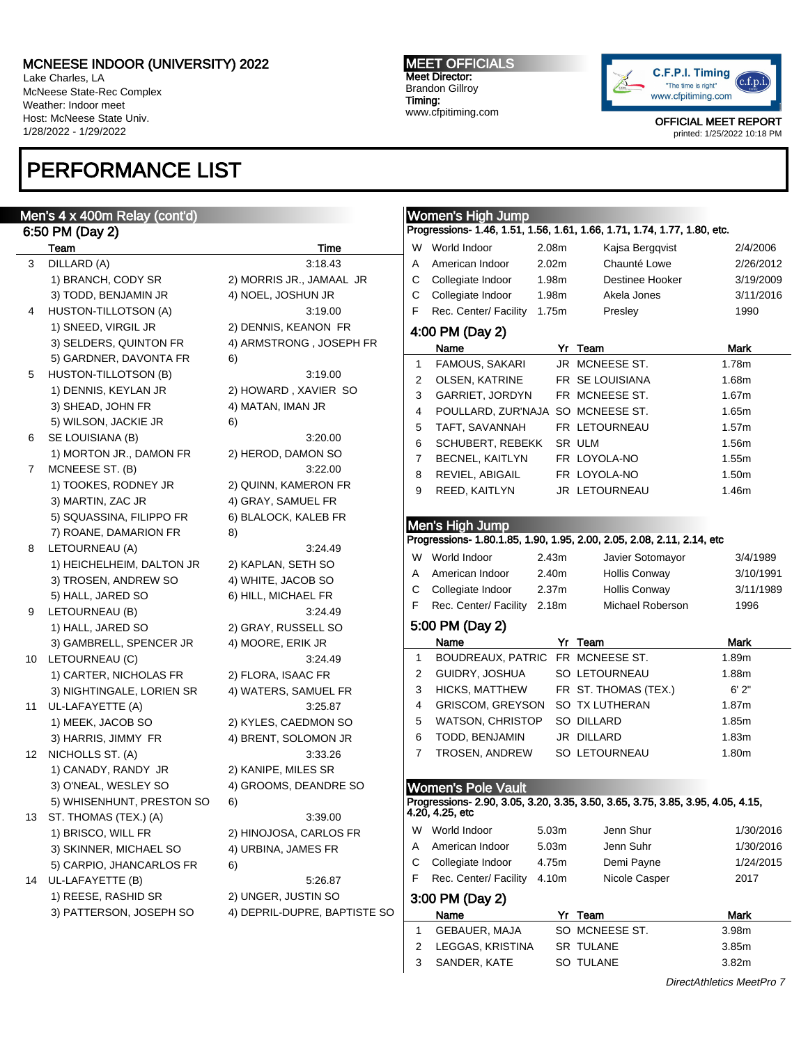Lake Charles, LA McNeese State-Rec Complex Weather: Indoor meet Host: McNeese State Univ. 1/28/2022 - 1/29/2022

Men's  $4$ 6:50 P

# PERFORMANCE LIST

#### MEET OFFICIALS Meet Director: Brandon Gillroy Timing:

www.cfpitiming.com



OFFICIAL MEET REPORT printed: 1/25/2022 10:18 PM

|    | Men's 4 x 400m Relay (cont'd) |                              |                | <b>Women's High Jump</b>          |       |                                                                                 |             |
|----|-------------------------------|------------------------------|----------------|-----------------------------------|-------|---------------------------------------------------------------------------------|-------------|
|    | 6:50 PM (Day 2)               |                              |                |                                   |       | Progressions- 1.46, 1.51, 1.56, 1.61, 1.66, 1.71, 1.74, 1.77, 1.80, etc.        |             |
|    | Team                          | Time                         |                | W World Indoor                    | 2.08m | Kajsa Bergqvist                                                                 | 2/4/2006    |
| 3  | DILLARD (A)                   | 3:18.43                      | A              | American Indoor                   | 2.02m | Chaunté Lowe                                                                    | 2/26/2012   |
|    | 1) BRANCH, CODY SR            | 2) MORRIS JR., JAMAAL JR     | C              | Collegiate Indoor                 | 1.98m | Destinee Hooker                                                                 | 3/19/2009   |
|    | 3) TODD, BENJAMIN JR          | 4) NOEL, JOSHUN JR           | C              | Collegiate Indoor                 | 1.98m | Akela Jones                                                                     | 3/11/2016   |
| 4  | HUSTON-TILLOTSON (A)          | 3:19.00                      | F              | Rec. Center/ Facility 1.75m       |       | Presley                                                                         | 1990        |
|    | 1) SNEED, VIRGIL JR           | 2) DENNIS, KEANON FR         |                | 4:00 PM (Day 2)                   |       |                                                                                 |             |
|    | 3) SELDERS, QUINTON FR        | 4) ARMSTRONG, JOSEPH FR      |                | Name                              |       | Yr Team                                                                         | Mark        |
|    | 5) GARDNER, DAVONTA FR        | 6)                           | $\mathbf{1}$   | FAMOUS, SAKARI                    |       | JR MCNEESE ST.                                                                  | 1.78m       |
| 5  | HUSTON-TILLOTSON (B)          | 3:19.00                      | $\overline{2}$ | OLSEN, KATRINE                    |       | FR SE LOUISIANA                                                                 | 1.68m       |
|    | 1) DENNIS, KEYLAN JR          | 2) HOWARD, XAVIER SO         | 3              | <b>GARRIET, JORDYN</b>            |       | FR MCNEESE ST.                                                                  | 1.67m       |
|    | 3) SHEAD, JOHN FR             | 4) MATAN, IMAN JR            | 4              |                                   |       |                                                                                 | 1.65m       |
|    | 5) WILSON, JACKIE JR          | 6)                           |                | POULLARD, ZUR'NAJA SO MCNEESE ST. |       |                                                                                 | 1.57m       |
| 6  | SE LOUISIANA (B)              | 3:20.00                      | 5              | TAFT, SAVANNAH                    |       | FR LETOURNEAU                                                                   |             |
|    | 1) MORTON JR., DAMON FR       | 2) HEROD, DAMON SO           | 6              | <b>SCHUBERT, REBEKK</b>           |       | SR ULM                                                                          | 1.56m       |
| 7  | MCNEESE ST. (B)               | 3:22.00                      | 7              | <b>BECNEL, KAITLYN</b>            |       | FR LOYOLA-NO                                                                    | 1.55m       |
|    | 1) TOOKES, RODNEY JR          | 2) QUINN, KAMERON FR         | 8              | REVIEL, ABIGAIL                   |       | FR LOYOLA-NO                                                                    | 1.50m       |
|    | 3) MARTIN, ZAC JR             | 4) GRAY, SAMUEL FR           | 9              | REED, KAITLYN                     |       | JR LETOURNEAU                                                                   | 1.46m       |
|    | 5) SQUASSINA, FILIPPO FR      | 6) BLALOCK, KALEB FR         |                |                                   |       |                                                                                 |             |
|    | 7) ROANE, DAMARION FR         | 8)                           |                | Men's High Jump                   |       |                                                                                 |             |
| 8  | LETOURNEAU (A)                | 3:24.49                      |                |                                   |       | Progressions- 1.80.1.85, 1.90, 1.95, 2.00, 2.05, 2.08, 2.11, 2.14, etc          |             |
|    | 1) HEICHELHEIM, DALTON JR     | 2) KAPLAN, SETH SO           | W              | World Indoor                      | 2.43m | Javier Sotomayor                                                                | 3/4/1989    |
|    | 3) TROSEN, ANDREW SO          | 4) WHITE, JACOB SO           | Α              | American Indoor                   | 2.40m | <b>Hollis Conway</b>                                                            | 3/10/1991   |
|    | 5) HALL, JARED SO             | 6) HILL, MICHAEL FR          | С              | Collegiate Indoor                 | 2.37m | <b>Hollis Conway</b>                                                            | 3/11/1989   |
| 9  | LETOURNEAU (B)                | 3:24.49                      | F              | Rec. Center/ Facility 2.18m       |       | Michael Roberson                                                                | 1996        |
|    | 1) HALL, JARED SO             | 2) GRAY, RUSSELL SO          |                | 5:00 PM (Day 2)                   |       |                                                                                 |             |
|    | 3) GAMBRELL, SPENCER JR       |                              |                | Name                              |       | Yr Team                                                                         | Mark        |
|    | 10 LETOURNEAU (C)             | 4) MOORE, ERIK JR<br>3:24.49 | $\mathbf{1}$   | BOUDREAUX, PATRIC FR MCNEESE ST.  |       |                                                                                 | 1.89m       |
|    |                               |                              | 2              | GUIDRY, JOSHUA                    |       | SO LETOURNEAU                                                                   | 1.88m       |
|    | 1) CARTER, NICHOLAS FR        | 2) FLORA, ISAAC FR           | 3              | HICKS, MATTHEW                    |       | FR ST. THOMAS (TEX.)                                                            | 6'2"        |
|    | 3) NIGHTINGALE, LORIEN SR     | 4) WATERS, SAMUEL FR         |                |                                   |       |                                                                                 |             |
|    | 11 UL-LAFAYETTE (A)           | 3:25.87                      | 4              | <b>GRISCOM, GREYSON</b>           |       | SO TX LUTHERAN                                                                  | 1.87m       |
|    | 1) MEEK, JACOB SO             | 2) KYLES, CAEDMON SO         | 5              | <b>WATSON, CHRISTOP</b>           |       | SO DILLARD                                                                      | 1.85m       |
|    | 3) HARRIS, JIMMY FR           | 4) BRENT, SOLOMON JR         | 6              | TODD, BENJAMIN                    |       | JR DILLARD                                                                      | 1.83m       |
|    | 12 NICHOLLS ST. (A)           | 3:33.26                      | 7              | <b>TROSEN, ANDREW</b>             |       | SO LETOURNEAU                                                                   | 1.80m       |
|    | 1) CANADY, RANDY JR           | 2) KANIPE, MILES SR          |                |                                   |       |                                                                                 |             |
|    | 3) O'NEAL, WESLEY SO          | 4) GROOMS, DEANDRE SO        |                | <b>Women's Pole Vault</b>         |       |                                                                                 |             |
|    | 5) WHISENHUNT, PRESTON SO     | 6)                           |                | 4.20, 4.25, etc                   |       | Progressions- 2.90, 3.05, 3.20, 3.35, 3.50, 3.65, 3.75, 3.85, 3.95, 4.05, 4.15, |             |
|    | 13 ST. THOMAS (TEX.) (A)      | 3:39.00                      |                |                                   |       |                                                                                 |             |
|    | 1) BRISCO, WILL FR            | 2) HINOJOSA, CARLOS FR       | W              | World Indoor                      | 5.03m | Jenn Shur                                                                       | 1/30/2016   |
|    | 3) SKINNER, MICHAEL SO        | 4) URBINA, JAMES FR          | A              | American Indoor                   | 5.03m | Jenn Suhr                                                                       | 1/30/2016   |
|    | 5) CARPIO, JHANCARLOS FR      | 6)                           | С              | Collegiate Indoor                 | 4.75m | Demi Payne                                                                      | 1/24/2015   |
| 14 | UL-LAFAYETTE (B)              | 5:26.87                      | F              | Rec. Center/ Facility             | 4.10m | Nicole Casper                                                                   | 2017        |
|    | 1) REESE, RASHID SR           | 2) UNGER, JUSTIN SO          |                | 3:00 PM (Day 2)                   |       |                                                                                 |             |
|    | 3) PATTERSON, JOSEPH SO       | 4) DEPRIL-DUPRE, BAPTISTE SO |                | Name                              |       | Yr Team                                                                         | <b>Mark</b> |
|    |                               |                              | -1             | GEBAUER, MAJA                     |       | SO MCNEESE ST.                                                                  | 3.98m       |
|    |                               |                              |                |                                   |       |                                                                                 |             |
|    |                               |                              | 2              | LEGGAS, KRISTINA                  |       | SR TULANE                                                                       | 3.85m       |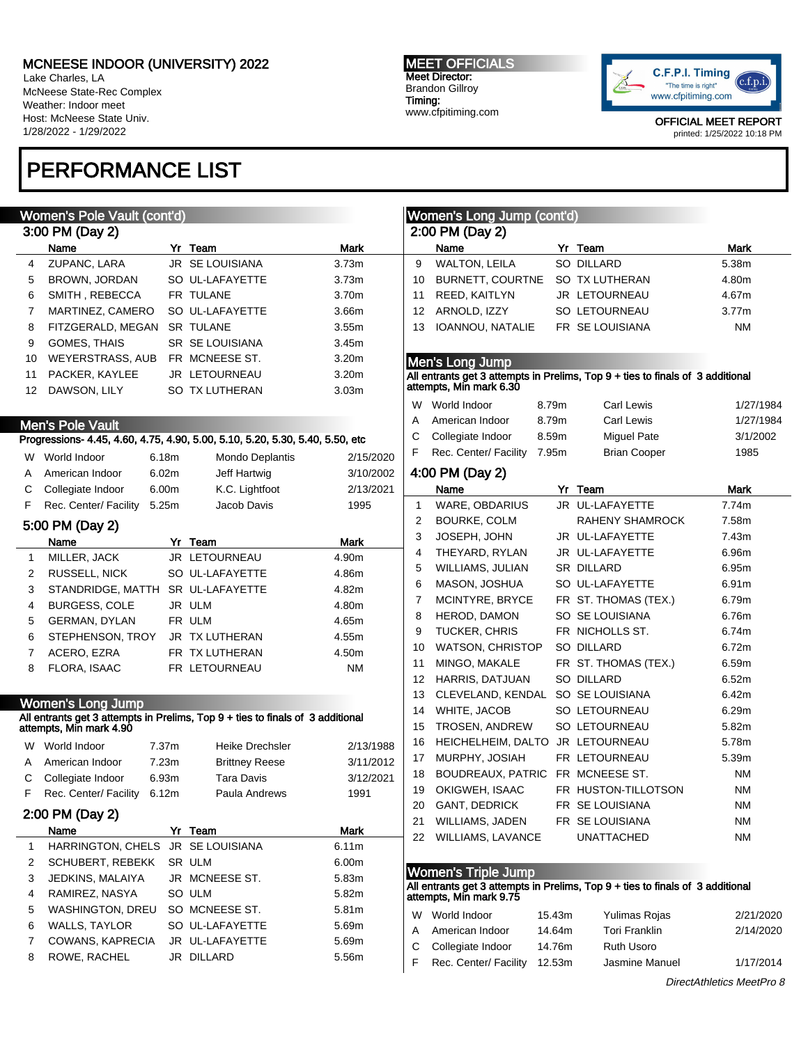Lake Charles, LA McNeese State-Rec Complex Weather: Indoor meet Host: McNeese State Univ. 1/28/2022 - 1/29/2022

## PERFORMANCE LIST

## Women's Pole Vault (cont'd)

|    | 3:00 PM (Day 2)         |  |                        |                   |  |  |  |  |  |
|----|-------------------------|--|------------------------|-------------------|--|--|--|--|--|
|    | Name                    |  | Yr Team                | <b>Mark</b>       |  |  |  |  |  |
| 4  | ZUPANC, LARA            |  | JR SE LOUISIANA        | 3.73 <sub>m</sub> |  |  |  |  |  |
| 5  | <b>BROWN, JORDAN</b>    |  | SO UL-LAFAYETTE        | 3.73m             |  |  |  |  |  |
| 6  | SMITH, REBECCA          |  | FR TULANE              | 3.70m             |  |  |  |  |  |
| 7  | MARTINEZ, CAMERO        |  | SO UL-LAFAYETTE        | 3.66m             |  |  |  |  |  |
| 8  | FITZGERALD, MEGAN       |  | <b>SR TULANE</b>       | 3.55m             |  |  |  |  |  |
| 9  | <b>GOMES, THAIS</b>     |  | <b>SR SE LOUISIANA</b> | 3.45m             |  |  |  |  |  |
| 10 | <b>WEYERSTRASS, AUB</b> |  | FR MCNEESE ST.         | 3.20 <sub>m</sub> |  |  |  |  |  |
| 11 | PACKER, KAYLEE          |  | <b>JR LETOURNEAU</b>   | 3.20 <sub>m</sub> |  |  |  |  |  |
| 12 | DAWSON, LILY            |  | <b>SO TX LUTHERAN</b>  | 3.03 <sub>m</sub> |  |  |  |  |  |
|    |                         |  |                        |                   |  |  |  |  |  |

### Men's Pole Vault

### Progressions- 4.45, 4.60, 4.75, 4.90, 5.00, 5.10, 5.20, 5.30, 5.40, 5.50, etc

| W  | World Indoor          | 6.18m | <b>Mondo Deplantis</b> | 2/15/2020 |
|----|-----------------------|-------|------------------------|-----------|
| A  | American Indoor       | 6.02m | Jeff Hartwig           | 3/10/2002 |
|    | C Collegiate Indoor   | 6.00m | K.C. Lightfoot         | 2/13/2021 |
| F. | Rec. Center/ Facility | 5.25m | Jacob Davis            | 1995      |
|    |                       |       |                        |           |

### 5:00 PM (Day 2)

|   | Name                              | Team                 | <b>Mark</b> |  |
|---|-----------------------------------|----------------------|-------------|--|
| 1 | MILLER, JACK                      | <b>JR LETOURNEAU</b> | 4.90m       |  |
| 2 | <b>RUSSELL, NICK</b>              | SO UL-LAFAYETTE      | 4.86m       |  |
| 3 | STANDRIDGE, MATTH SR UL-LAFAYETTE |                      | 4.82m       |  |
| 4 | <b>BURGESS, COLE</b>              | JR ULM               | 4.80m       |  |
| 5 | <b>GERMAN, DYLAN</b>              | FR ULM               | 4.65m       |  |
| 6 | STEPHENSON, TROY                  | JR TX LUTHERAN       | 4.55m       |  |
|   | ACERO, EZRA                       | FR TX LUTHERAN       | 4.50m       |  |
| 8 | FLORA, ISAAC                      | FR LETOURNEAU        | <b>NM</b>   |  |

### Women's Long Jump

#### All entrants get 3 attempts in Prelims, Top 9 + ties to finals of 3 additional attempts, Min mark 4.90

| W               | World Indoor                      | 7.37m |       | Heike Drechsler       | 2/13/1988 |  |  |  |
|-----------------|-----------------------------------|-------|-------|-----------------------|-----------|--|--|--|
| A               | American Indoor                   |       | 7.23m | <b>Brittney Reese</b> | 3/11/2012 |  |  |  |
| С               | Collegiate Indoor                 |       | 6.93m | Tara Davis            | 3/12/2021 |  |  |  |
| F               | Rec. Center/ Facility             |       | 6.12m | Paula Andrews         | 1991      |  |  |  |
| 2:00 PM (Day 2) |                                   |       |       |                       |           |  |  |  |
|                 | Name                              |       |       | Yr Team               | Mark      |  |  |  |
| 1               | HARRINGTON, CHELS JR SE LOUISIANA |       |       |                       | 6.11m     |  |  |  |
| 2               | <b>SCHUBERT, REBEKK</b>           |       |       | SR ULM                | 6.00m     |  |  |  |
| 3               | JEDKINS, MALAIYA                  |       |       | JR MCNEESE ST.        | 5.83m     |  |  |  |
| 4               | RAMIREZ, NASYA                    |       |       | SO ULM                | 5.82m     |  |  |  |
| 5               | <b>WASHINGTON, DREU</b>           |       |       | SO MCNEESE ST.        | 5.81m     |  |  |  |
| 6               | <b>WALLS, TAYLOR</b>              |       |       | SO UL-LAFAYETTE       | 5.69m     |  |  |  |
| 7               | COWANS, KAPRECIA                  |       |       | JR UL-LAFAYETTE       | 5.69m     |  |  |  |
| 8               | ROWE, RACHEL                      |       |       | JR DILLARD            | 5.56m     |  |  |  |

#### MEET OFFICIALS Meet Director: Brandon Gillroy Timing: www.cfpitiming.com

2:00 PM (Day 2)

Women's Long Jump (cont'd)



OFFICIAL MEET REPORT printed: 1/25/2022 10:18 PM

| 13                                                                                                        | IOANNOU, NATALIE FR SE LOUISIANA                                                                          |       |                        | <b>NM</b> |  |  |  |  |  |  |
|-----------------------------------------------------------------------------------------------------------|-----------------------------------------------------------------------------------------------------------|-------|------------------------|-----------|--|--|--|--|--|--|
|                                                                                                           |                                                                                                           |       |                        |           |  |  |  |  |  |  |
|                                                                                                           | Men's Long Jump                                                                                           |       |                        |           |  |  |  |  |  |  |
| All entrants get 3 attempts in Prelims, Top 9 + ties to finals of 3 additional<br>attempts, Min mark 6.30 |                                                                                                           |       |                        |           |  |  |  |  |  |  |
|                                                                                                           |                                                                                                           |       |                        |           |  |  |  |  |  |  |
| W                                                                                                         | World Indoor                                                                                              | 8.79m | Carl Lewis             | 1/27/1984 |  |  |  |  |  |  |
| A                                                                                                         | American Indoor                                                                                           | 8.79m | Carl Lewis             | 1/27/1984 |  |  |  |  |  |  |
| C                                                                                                         | Collegiate Indoor                                                                                         | 8.59m | <b>Miguel Pate</b>     | 3/1/2002  |  |  |  |  |  |  |
| F.                                                                                                        | Rec. Center/ Facility                                                                                     | 7.95m | <b>Brian Cooper</b>    | 1985      |  |  |  |  |  |  |
|                                                                                                           | 4:00 PM (Day 2)                                                                                           |       |                        |           |  |  |  |  |  |  |
|                                                                                                           | Name                                                                                                      |       | Yr Team                | Mark      |  |  |  |  |  |  |
| 1                                                                                                         | WARE, OBDARIUS                                                                                            |       | JR UL-LAFAYETTE        | 7.74m     |  |  |  |  |  |  |
| 2                                                                                                         | BOURKE, COLM                                                                                              |       | <b>RAHENY SHAMROCK</b> | 7.58m     |  |  |  |  |  |  |
| 3                                                                                                         | JOSEPH, JOHN                                                                                              |       | JR UL-LAFAYETTE        | 7.43m     |  |  |  |  |  |  |
| 4                                                                                                         | THEYARD, RYLAN                                                                                            |       | JR UL-LAFAYETTE        | 6.96m     |  |  |  |  |  |  |
| 5                                                                                                         | WILLIAMS, JULIAN                                                                                          |       | <b>SR DILLARD</b>      | 6.95m     |  |  |  |  |  |  |
| 6                                                                                                         | MASON, JOSHUA                                                                                             |       | SO UL-LAFAYETTE        | 6.91m     |  |  |  |  |  |  |
| 7                                                                                                         | MCINTYRE, BRYCE                                                                                           |       | FR ST. THOMAS (TEX.)   | 6.79m     |  |  |  |  |  |  |
| 8                                                                                                         | HEROD, DAMON                                                                                              |       | SO SE LOUISIANA        | 6.76m     |  |  |  |  |  |  |
| 9                                                                                                         | <b>TUCKER, CHRIS</b>                                                                                      |       | FR NICHOLLS ST.        | 6.74m     |  |  |  |  |  |  |
| 10                                                                                                        | <b>WATSON, CHRISTOP</b>                                                                                   |       | SO DILLARD             | 6.72m     |  |  |  |  |  |  |
| 11                                                                                                        | MINGO, MAKALE                                                                                             |       | FR ST. THOMAS (TEX.)   | 6.59m     |  |  |  |  |  |  |
| 12                                                                                                        | HARRIS, DATJUAN                                                                                           |       | SO DILLARD             | 6.52m     |  |  |  |  |  |  |
| 13                                                                                                        | CLEVELAND, KENDAL                                                                                         |       | SO SE LOUISIANA        | 6.42m     |  |  |  |  |  |  |
| 14                                                                                                        | WHITE, JACOB                                                                                              |       | SO LETOURNEAU          | 6.29m     |  |  |  |  |  |  |
| 15                                                                                                        | TROSEN, ANDREW                                                                                            |       | SO LETOURNEAU          | 5.82m     |  |  |  |  |  |  |
| 16                                                                                                        | HEICHELHEIM, DALTO JR LETOURNEAU                                                                          |       |                        | 5.78m     |  |  |  |  |  |  |
| 17                                                                                                        | MURPHY, JOSIAH                                                                                            |       | FR LETOURNEAU          | 5.39m     |  |  |  |  |  |  |
| 18                                                                                                        | BOUDREAUX, PATRIC FR MCNEESE ST.                                                                          |       |                        | ΝM        |  |  |  |  |  |  |
| 19                                                                                                        | OKIGWEH, ISAAC                                                                                            |       | FR HUSTON-TILLOTSON    | NM        |  |  |  |  |  |  |
| 20                                                                                                        | <b>GANT, DEDRICK</b>                                                                                      |       | FR SE LOUISIANA        | <b>NM</b> |  |  |  |  |  |  |
| 21                                                                                                        | WILLIAMS, JADEN                                                                                           |       | FR SE LOUISIANA        | NM        |  |  |  |  |  |  |
| 22                                                                                                        | <b>WILLIAMS, LAVANCE</b>                                                                                  |       | <b>UNATTACHED</b>      | <b>NM</b> |  |  |  |  |  |  |
|                                                                                                           |                                                                                                           |       |                        |           |  |  |  |  |  |  |
|                                                                                                           | <b>Women's Triple Jump</b>                                                                                |       |                        |           |  |  |  |  |  |  |
|                                                                                                           | All entrants get 3 attempts in Prelims, Top 9 + ties to finals of 3 additional<br>attempts, Miñ mark 9.75 |       |                        |           |  |  |  |  |  |  |

Name Yr Team Mark 9 WALTON, LEILA SO DILLARD 5.38m 10 BURNETT, COURTNE SO TX LUTHERAN 4.80m 11 REED, KAITLYN JR LETOURNEAU 4.67m 12 ARNOLD, IZZY SO LETOURNEAU 3.77m

| W World Indoor          | 15.43m | Yulimas Rojas        | 2/21/2020 |
|-------------------------|--------|----------------------|-----------|
| A American Indoor       | 14.64m | <b>Tori Franklin</b> | 2/14/2020 |
| C Collegiate Indoor     | 14.76m | <b>Ruth Usoro</b>    |           |
| F Rec. Center/ Facility | 12.53m | Jasmine Manuel       | 1/17/2014 |
|                         |        |                      |           |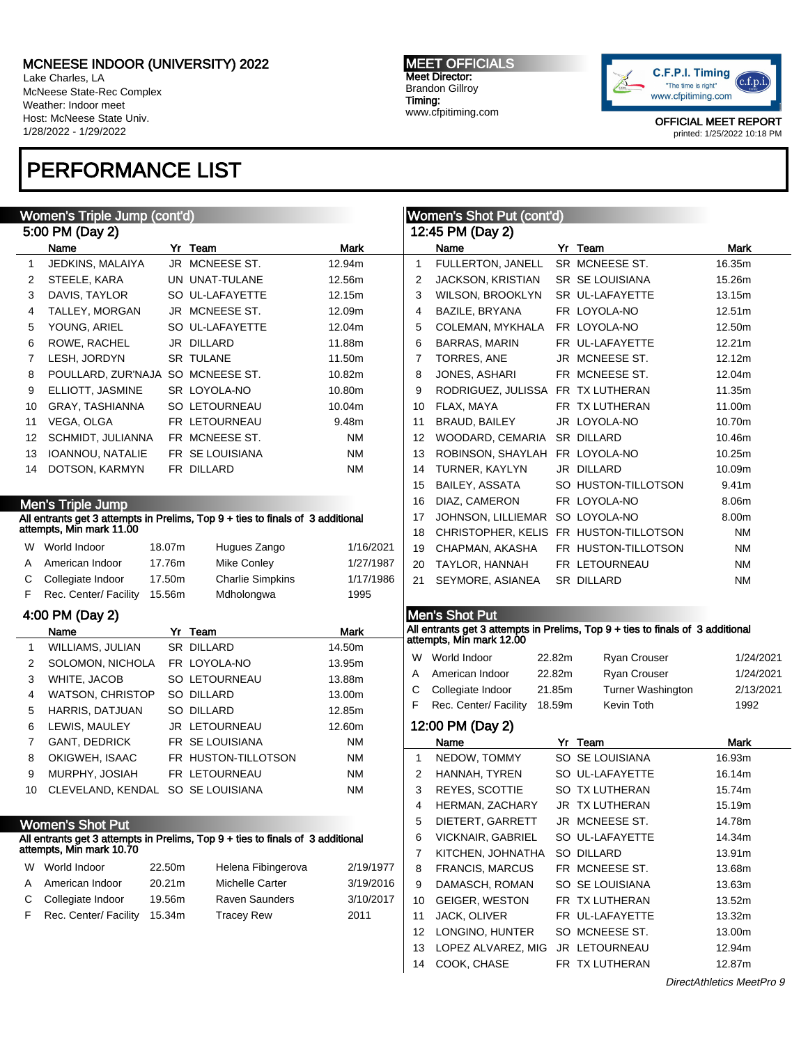Lake Charles, LA McNeese State-Rec Complex Weather: Indoor meet Host: McNeese State Univ. 1/28/2022 - 1/29/2022

## PERFORMANCE LIST

#### MEET OFFICIALS Meet Director: Brandon Gillroy Timing: www.cfpitiming.com



OFFICIAL MEET REPORT printed: 1/25/2022 10:18 PM

| Women's Triple Jump (cont'd) |                                   |        |                                                                                |           | <b>Women's Shot Put (cont'd)</b> |                                        |        |                                                                                |             |  |
|------------------------------|-----------------------------------|--------|--------------------------------------------------------------------------------|-----------|----------------------------------|----------------------------------------|--------|--------------------------------------------------------------------------------|-------------|--|
|                              | 5:00 PM (Day 2)                   |        |                                                                                |           |                                  | 12:45 PM (Day 2)                       |        |                                                                                |             |  |
|                              | Name                              |        | Yr Team                                                                        | Mark      |                                  | Name                                   |        | Yr Team                                                                        | Mark        |  |
| $\mathbf{1}$                 | JEDKINS, MALAIYA                  |        | JR MCNEESE ST.                                                                 | 12.94m    | $\mathbf{1}$                     | FULLERTON, JANELL                      |        | SR MCNEESE ST.                                                                 | 16.35m      |  |
| 2                            | STEELE, KARA                      |        | UN UNAT-TULANE                                                                 | 12.56m    | 2                                | <b>JACKSON, KRISTIAN</b>               |        | SR SE LOUISIANA                                                                | 15.26m      |  |
| 3                            | DAVIS, TAYLOR                     |        | SO UL-LAFAYETTE                                                                | 12.15m    | 3                                | <b>WILSON, BROOKLYN</b>                |        | SR UL-LAFAYETTE                                                                | 13.15m      |  |
| 4                            | TALLEY, MORGAN                    |        | JR MCNEESE ST.                                                                 | 12.09m    | 4                                | BAZILE, BRYANA                         |        | FR LOYOLA-NO                                                                   | 12.51m      |  |
| 5                            | YOUNG, ARIEL                      |        | SO UL-LAFAYETTE                                                                | 12.04m    | 5                                | COLEMAN, MYKHALA                       |        | FR LOYOLA-NO                                                                   | 12.50m      |  |
| 6                            | ROWE, RACHEL                      |        | JR DILLARD                                                                     | 11.88m    | 6                                | <b>BARRAS, MARIN</b>                   |        | FR UL-LAFAYETTE                                                                | 12.21m      |  |
| 7                            | LESH, JORDYN                      |        | <b>SR TULANE</b>                                                               | 11.50m    | 7                                | TORRES, ANE                            |        | JR MCNEESE ST.                                                                 | 12.12m      |  |
| 8                            | POULLARD, ZUR'NAJA SO MCNEESE ST. |        |                                                                                | 10.82m    | 8                                | JONES, ASHARI                          |        | FR MCNEESE ST.                                                                 | 12.04m      |  |
| 9                            | ELLIOTT, JASMINE                  |        | SR LOYOLA-NO                                                                   | 10.80m    | 9                                | RODRIGUEZ, JULISSA FR TX LUTHERAN      |        |                                                                                | 11.35m      |  |
| 10                           | GRAY, TASHIANNA                   |        | SO LETOURNEAU                                                                  | 10.04m    | 10                               | FLAX, MAYA                             |        | FR TX LUTHERAN                                                                 | 11.00m      |  |
| 11                           | VEGA, OLGA                        |        | FR LETOURNEAU                                                                  | 9.48m     | 11                               | <b>BRAUD, BAILEY</b>                   |        | JR LOYOLA-NO                                                                   | 10.70m      |  |
| 12                           | SCHMIDT, JULIANNA                 |        | FR MCNEESE ST.                                                                 | ΝM        | 12                               | WOODARD, CEMARIA                       |        | SR DILLARD                                                                     | 10.46m      |  |
| 13                           | IOANNOU, NATALIE                  |        | FR SE LOUISIANA                                                                | ΝM        | 13                               | ROBINSON, SHAYLAH FR LOYOLA-NO         |        |                                                                                | 10.25m      |  |
| 14                           | DOTSON, KARMYN                    |        | FR DILLARD                                                                     | ΝM        | 14                               | TURNER, KAYLYN                         |        | JR DILLARD                                                                     | 10.09m      |  |
|                              |                                   |        |                                                                                |           | 15                               | <b>BAILEY, ASSATA</b>                  |        | SO HUSTON-TILLOTSON                                                            | 9.41m       |  |
|                              | <b>Men's Triple Jump</b>          |        |                                                                                |           | 16                               | DIAZ, CAMERON                          |        | FR LOYOLA-NO                                                                   | 8.06m       |  |
|                              |                                   |        | All entrants get 3 attempts in Prelims, Top 9 + ties to finals of 3 additional |           | 17                               | JOHNSON, LILLIEMAR SO LOYOLA-NO        |        |                                                                                | 8.00m       |  |
|                              | attempts, Min mark 11.00          |        |                                                                                |           | 18                               | CHRISTOPHER, KELIS FR HUSTON-TILLOTSON |        |                                                                                | <b>NM</b>   |  |
|                              | W World Indoor                    | 18.07m | Hugues Zango                                                                   | 1/16/2021 | 19                               | CHAPMAN, AKASHA                        |        | FR HUSTON-TILLOTSON                                                            | <b>NM</b>   |  |
| A                            | American Indoor                   | 17.76m | <b>Mike Conley</b>                                                             | 1/27/1987 | 20                               | TAYLOR, HANNAH                         |        | FR LETOURNEAU                                                                  | <b>NM</b>   |  |
| С                            | Collegiate Indoor                 | 17.50m | <b>Charlie Simpkins</b>                                                        | 1/17/1986 | 21                               | SEYMORE, ASIANEA                       |        | SR DILLARD                                                                     | <b>NM</b>   |  |
| F                            | Rec. Center/ Facility             | 15.56m | Mdholongwa                                                                     | 1995      |                                  |                                        |        |                                                                                |             |  |
|                              | 4:00 PM (Day 2)                   |        |                                                                                |           |                                  | Men's Shot Put                         |        |                                                                                |             |  |
|                              | Name                              |        | Yr Team                                                                        | Mark      |                                  |                                        |        | All entrants get 3 attempts in Prelims, Top 9 + ties to finals of 3 additional |             |  |
| 1                            | WILLIAMS, JULIAN                  |        | SR DILLARD                                                                     | 14.50m    |                                  | attempts, Min mark 12.00               |        |                                                                                |             |  |
| 2                            | SOLOMON, NICHOLA                  |        | FR LOYOLA-NO                                                                   | 13.95m    |                                  | W World Indoor                         | 22.82m | <b>Ryan Crouser</b>                                                            | 1/24/2021   |  |
| 3                            | WHITE, JACOB                      |        | SO LETOURNEAU                                                                  | 13.88m    | A                                | American Indoor                        | 22.82m | Ryan Crouser                                                                   | 1/24/2021   |  |
| 4                            | <b>WATSON, CHRISTOP</b>           |        | SO DILLARD                                                                     | 13.00m    | С                                | Collegiate Indoor                      | 21.85m | Turner Washington                                                              | 2/13/2021   |  |
| 5                            | HARRIS, DATJUAN                   |        | SO DILLARD                                                                     | 12.85m    | F                                | Rec. Center/ Facility                  | 18.59m | Kevin Toth                                                                     | 1992        |  |
| 6                            | LEWIS, MAULEY                     |        | JR LETOURNEAU                                                                  | 12.60m    |                                  | 12:00 PM (Day 2)                       |        |                                                                                |             |  |
| 7                            | GANT, DEDRICK                     |        | FR SE LOUISIANA                                                                | ΝM        |                                  | Name                                   |        | Yr Team                                                                        | <b>Mark</b> |  |
| 8                            | OKIGWEH, ISAAC                    |        | FR HUSTON-TILLOTSON                                                            | ΝM        | $\mathbf{1}$                     | NEDOW, TOMMY                           |        | SO SE LOUISIANA                                                                | 16.93m      |  |
| 9                            | MURPHY, JOSIAH                    |        | FR LETOURNEAU                                                                  | ΝM        | 2                                | HANNAH, TYREN                          |        | SO UL-LAFAYETTE                                                                | 16.14m      |  |
| 10                           | CLEVELAND, KENDAL SO SE LOUISIANA |        |                                                                                | <b>NM</b> | 3                                | REYES, SCOTTIE                         |        | SO TX LUTHERAN                                                                 | 15.74m      |  |
|                              |                                   |        |                                                                                |           | 4                                | <b>HERMAN, ZACHARY</b>                 |        | JR TX LUTHERAN                                                                 | 15.19m      |  |
|                              | <b>Women's Shot Put</b>           |        |                                                                                |           | 5                                | DIETERT, GARRETT                       |        | JR MCNEESE ST.                                                                 | 14.78m      |  |
|                              |                                   |        | All entrants get 3 attempts in Prelims, Top 9 + ties to finals of 3 additional |           | 6                                | VICKNAIR, GABRIEL                      |        | SO UL-LAFAYETTE                                                                | 14.34m      |  |
|                              | attempts, Min mark 10.70          |        |                                                                                |           | 7                                | KITCHEN, JOHNATHA                      |        | SO DILLARD                                                                     | 13.91m      |  |
| W                            | World Indoor                      | 22.50m | Helena Fibingerova                                                             | 2/19/1977 | 8                                | <b>FRANCIS, MARCUS</b>                 |        | FR MCNEESE ST.                                                                 | 13.68m      |  |
| Α                            | American Indoor                   | 20.21m | <b>Michelle Carter</b>                                                         | 3/19/2016 | 9                                | DAMASCH, ROMAN                         |        | SO SE LOUISIANA                                                                | 13.63m      |  |
| С                            | Collegiate Indoor                 | 19.56m | <b>Raven Saunders</b>                                                          | 3/10/2017 | 10                               | <b>GEIGER, WESTON</b>                  |        | FR TX LUTHERAN                                                                 | 13.52m      |  |
| F                            | Rec. Center/ Facility             | 15.34m | <b>Tracey Rew</b>                                                              | 2011      | 11                               | JACK, OLIVER                           |        | FR UL-LAFAYETTE                                                                | 13.32m      |  |
|                              |                                   |        |                                                                                |           | 12                               | LONGINO, HUNTER                        |        | SO MCNEESE ST.                                                                 | 13.00m      |  |
|                              |                                   |        |                                                                                |           | 13                               | LOPEZ ALVAREZ, MIG                     |        | JR LETOURNEAU                                                                  | 12.94m      |  |
|                              |                                   |        |                                                                                |           | 14                               | COOK, CHASE                            |        | FR TX LUTHERAN                                                                 | 12.87m      |  |
|                              |                                   |        |                                                                                |           |                                  |                                        |        |                                                                                |             |  |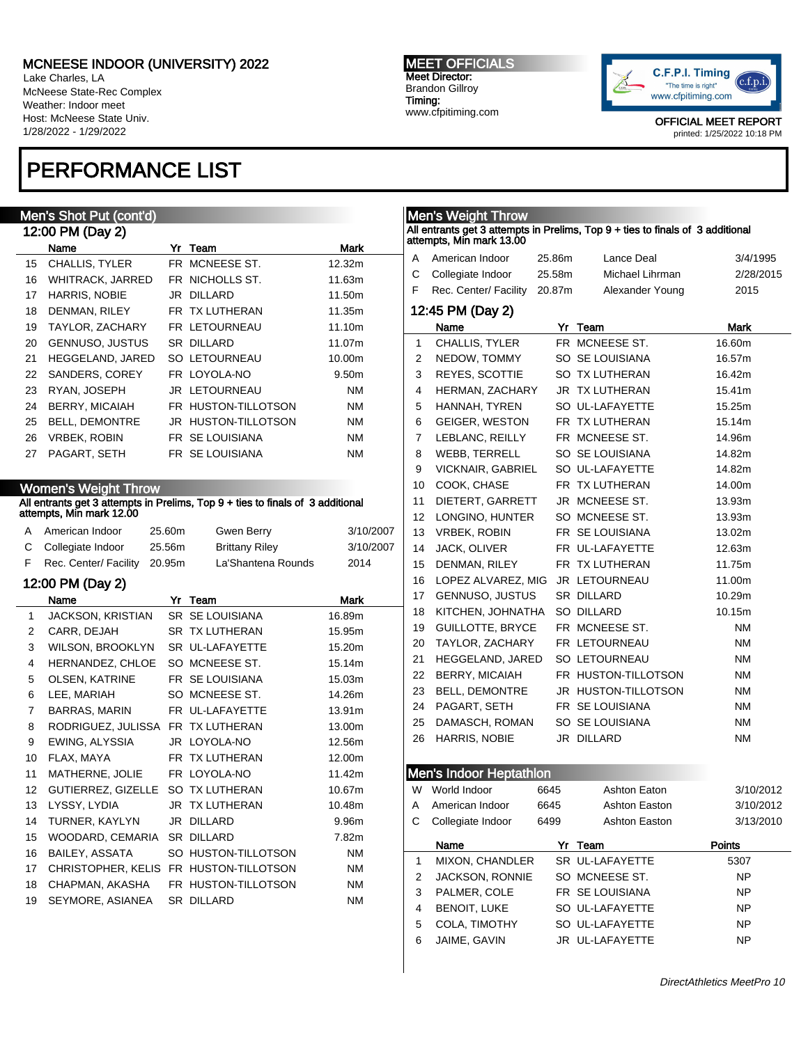Lake Charles, LA McNeese State-Rec Complex Weather: Indoor meet Host: McNeese State Univ. 1/28/2022 - 1/29/2022

## PERFORMANCE LIST

### Men's Shot Put (cont'd)

| 12:00 PM (Day 2) |                         |  |                            |           |  |  |  |  |
|------------------|-------------------------|--|----------------------------|-----------|--|--|--|--|
|                  | Name                    |  | Yr Team                    | Mark      |  |  |  |  |
| 15               | <b>CHALLIS, TYLER</b>   |  | FR MCNEESE ST.             | 12.32m    |  |  |  |  |
| 16               | <b>WHITRACK, JARRED</b> |  | FR NICHOLLS ST.            | 11.63m    |  |  |  |  |
| 17               | <b>HARRIS, NOBIE</b>    |  | JR DILLARD                 | 11.50m    |  |  |  |  |
| 18               | DENMAN, RILEY           |  | FR TX LUTHERAN             | 11.35m    |  |  |  |  |
| 19               | TAYLOR, ZACHARY         |  | FR LETOURNEAU              | 11.10m    |  |  |  |  |
| 20               | <b>GENNUSO, JUSTUS</b>  |  | SR DILLARD                 | 11.07m    |  |  |  |  |
| 21               | <b>HEGGELAND, JARED</b> |  | <b>SO LETOURNEAU</b>       | 10.00m    |  |  |  |  |
| 22               | SANDERS, COREY          |  | FR LOYOLA-NO               | 9.50m     |  |  |  |  |
| 23               | RYAN, JOSEPH            |  | JR LETOURNEAU              | NM        |  |  |  |  |
| 24               | <b>BERRY, MICAIAH</b>   |  | FR HUSTON-TILLOTSON        | NM        |  |  |  |  |
| 25               | <b>BELL, DEMONTRE</b>   |  | <b>JR HUSTON-TILLOTSON</b> | NM        |  |  |  |  |
| 26               | <b>VRBEK, ROBIN</b>     |  | FR SE LOUISIANA            | NM        |  |  |  |  |
| 27               | PAGART, SETH            |  | FR SE LOUISIANA            | <b>NM</b> |  |  |  |  |
|                  |                         |  |                            |           |  |  |  |  |

### Women's Weight Throw

#### All entrants get 3 attempts in Prelims, Top 9 + ties to finals of 3 additional attempts, Min mark 12.00

|    | A American Indoor            | 25.60m | Gwen Berry            | 3/10/2007 |
|----|------------------------------|--------|-----------------------|-----------|
|    | C Collegiate Indoor          | 25.56m | <b>Brittany Riley</b> | 3/10/2007 |
| E. | Rec. Center/ Facility 20.95m |        | La'Shantena Rounds    | 2014      |

### 12:00 PM (Day 2)

|                   | Name                                   | Yr | Team                   | <b>Mark</b> |  |  |
|-------------------|----------------------------------------|----|------------------------|-------------|--|--|
| 1                 | JACKSON, KRISTIAN                      |    | <b>SR SE LOUISIANA</b> | 16.89m      |  |  |
| 2                 | CARR, DEJAH                            |    | SR TX LUTHERAN         | 15.95m      |  |  |
| 3                 | WILSON, BROOKLYN                       |    | SR UL-LAFAYETTE        | 15.20m      |  |  |
| 4                 | HERNANDEZ, CHLOE                       |    | SO MCNEESE ST.         | 15.14m      |  |  |
| 5                 | OLSEN, KATRINE                         |    | FR SE LOUISIANA        | 15.03m      |  |  |
| 6                 | LEE, MARIAH                            |    | SO MCNEESE ST.         | 14.26m      |  |  |
| $\overline{7}$    | BARRAS, MARIN                          |    | FR UL-LAFAYETTE        | 13.91m      |  |  |
| 8                 | RODRIGUEZ, JULISSA FR TX LUTHERAN      |    |                        | 13.00m      |  |  |
| 9                 | EWING, ALYSSIA                         |    | JR LOYOLA-NO           | 12.56m      |  |  |
| 10                | FLAX, MAYA                             |    | FR TX LUTHERAN         | 12.00m      |  |  |
| 11                | MATHERNE, JOLIE                        |    | FR LOYOLA-NO           | 11.42m      |  |  |
| $12 \overline{ }$ | GUTIERREZ, GIZELLE                     |    | SO TX LUTHERAN         | 10.67m      |  |  |
| 13                | LYSSY, LYDIA                           |    | JR TX LUTHERAN         | 10.48m      |  |  |
| 14                | TURNER, KAYLYN                         |    | JR DILLARD             | 9.96m       |  |  |
| 15                | WOODARD, CEMARIA                       |    | <b>SR DILLARD</b>      | 7.82m       |  |  |
| 16                | BAILEY, ASSATA                         |    | SO HUSTON-TILLOTSON    | ΝM          |  |  |
| 17                | CHRISTOPHER, KELIS FR HUSTON-TILLOTSON |    |                        | <b>NM</b>   |  |  |
| 18                | CHAPMAN, AKASHA                        |    | FR HUSTON-TILLOTSON    | <b>NM</b>   |  |  |
| 19                | SEYMORE, ASIANEA                       |    | <b>SR DILLARD</b>      | <b>NM</b>   |  |  |

#### MEET OFFICIALS Meet Director: Brandon Gillroy Timing: www.cfpitiming.com



OFFICIAL MEET REPORT printed: 1/25/2022 10:18 PM

## Men's Weight Throw All entrants get 3 attempts in Prelims, Top 9 + ties to finals of 3 additional attempts, Min mark 13.00 A American Indoor 25.86m Lance Deal 3/4/1995 C Collegiate Indoor 25.58m Michael Lihrman 2/28/2015 F Rec. Center/ Facility 20.87m Alexander Young 2015 12:45 PM (Day 2) Name Yr Team Mark 1 CHALLIS, TYLER FR MCNEESE ST. 16.60m 2 NEDOW, TOMMY SO SE LOUISIANA 16.57m 3 REYES, SCOTTIE SO TX LUTHERAN 16.42m 4 HERMAN, ZACHARY JR TX LUTHERAN 15.41m 5 HANNAH, TYREN SOUL-LAFAYETTE 15.25m 6 GEIGER, WESTON FR TX LUTHERAN 15.14m 7 LEBLANC, REILLY FR MCNEESE ST. 14.96m 8 WEBB, TERRELL SO SE LOUISIANA 14.82m 9 VICKNAIR, GABRIEL SO UL-LAFAYETTE 14.82m 10 COOK, CHASE FR TX LUTHERAN 14.00m 11 DIETERT, GARRETT JR MCNEESE ST. 13.93m 12 LONGINO, HUNTER SO MCNEESE ST. 13.93m 13 VRBEK, ROBIN FR SE LOUISIANA 13.02m 14 JACK, OLIVER FR UL-LAFAYETTE 12.63m 15 DENMAN, RILEY FR TX LUTHERAN 11.75m 16 LOPEZ ALVAREZ, MIG JR LETOURNEAU 11.00m 17 GENNUSO, JUSTUS SR DILLARD 10.29m 18 KITCHEN, JOHNATHA SO DILLARD 10.15m 19 GUILLOTTE, BRYCE FR MCNEESE ST. NM 20 TAYLOR, ZACHARY FR LETOURNEAU NM 21 HEGGELAND, JARED SO LETOURNEAU NM 22 BERRY, MICAIAH FR HUSTON-TILLOTSON NM 23 BELL, DEMONTRE JR HUSTON-TILLOTSON NM 24 PAGART, SETH FR SE LOUISIANA NM 25 DAMASCH, ROMAN SO SE LOUISIANA NM 26 HARRIS, NOBIE JR DILLARD NM Men's Indoor Heptathlon W World Indoor 6645 Ashton Eaton 3/10/2012 A American Indoor 6645 Ashton Easton 3/10/2012 C Collegiate Indoor 6499 Ashton Easton 3/13/2010 Name **Yr Team** Points

|   | Name                   | Team            | Points    |
|---|------------------------|-----------------|-----------|
| 1 | MIXON, CHANDLER        | SR UL-LAFAYETTE | 5307      |
| 2 | <b>JACKSON, RONNIE</b> | SO MCNEESE ST.  | <b>NP</b> |
| 3 | PALMER, COLE           | FR SE LOUISIANA | <b>NP</b> |
| 4 | <b>BENOIT, LUKE</b>    | SO UL-LAFAYETTE | <b>NP</b> |
| 5 | COLA. TIMOTHY          | SO UL-LAFAYETTE | <b>NP</b> |
| 6 | JAIME, GAVIN           | JR UL-LAFAYETTE | <b>NP</b> |